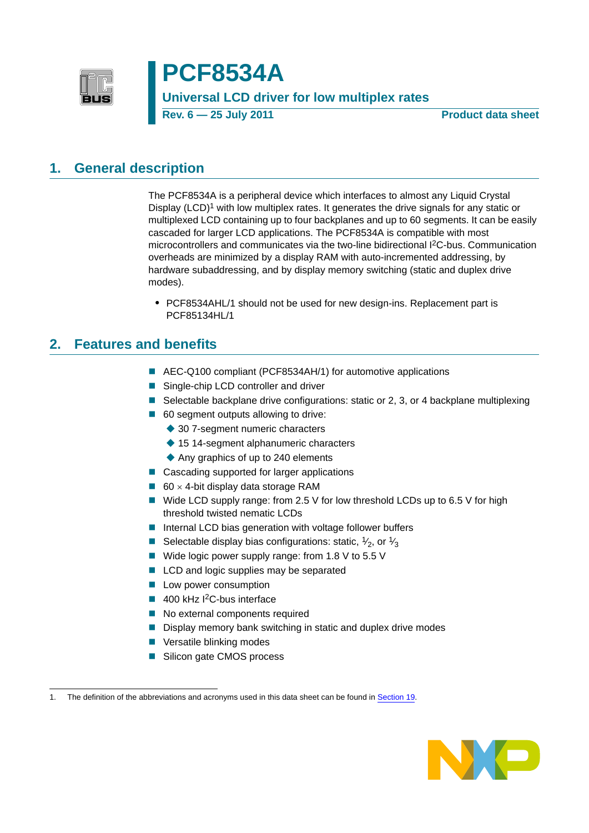

# **PCF8534A**

### **Universal LCD driver for low multiplex rates**

**Rev. 6 — 25 July 2011 Product data sheet**

### <span id="page-0-0"></span>**1. General description**

The PCF8534A is a peripheral device which interfaces to almost any Liquid Crystal Display  $(LCD)<sup>1</sup>$  with low multiplex rates. It generates the drive signals for any static or multiplexed LCD containing up to four backplanes and up to 60 segments. It can be easily cascaded for larger LCD applications. The PCF8534A is compatible with most microcontrollers and communicates via the two-line bidirectional I2C-bus. Communication overheads are minimized by a display RAM with auto-incremented addressing, by hardware subaddressing, and by display memory switching (static and duplex drive modes).

**•** PCF8534AHL/1 should not be used for new design-ins. Replacement part is PCF85134HL/1

### <span id="page-0-1"></span>**2. Features and benefits**

- AEC-Q100 compliant (PCF8534AH/1) for automotive applications
- Single-chip LCD controller and driver
- Selectable backplane drive configurations: static or 2, 3, or 4 backplane multiplexing
- 60 segment outputs allowing to drive:
	- ◆ 30 7-segment numeric characters
	- ◆ 15 14-segment alphanumeric characters
	- ◆ Any graphics of up to 240 elements
- Cascading supported for larger applications
- 60  $\times$  4-bit display data storage RAM
- Wide LCD supply range: from 2.5 V for low threshold LCDs up to 6.5 V for high threshold twisted nematic LCDs
- $\blacksquare$  Internal LCD bias generation with voltage follower buffers
- Selectable display bias configurations: static,  $\frac{1}{2}$ , or  $\frac{1}{3}$
- Wide logic power supply range: from 1.8 V to 5.5 V
- LCD and logic supplies may be separated
- **Low power consumption**
- $\blacksquare$  400 kHz I<sup>2</sup>C-bus interface
- No external components required
- Display memory bank switching in static and duplex drive modes
- Versatile blinking modes
- Silicon gate CMOS process

<sup>1.</sup> The definition of the abbreviations and acronyms used in this data sheet can be found in [Section 19.](#page-47-0)

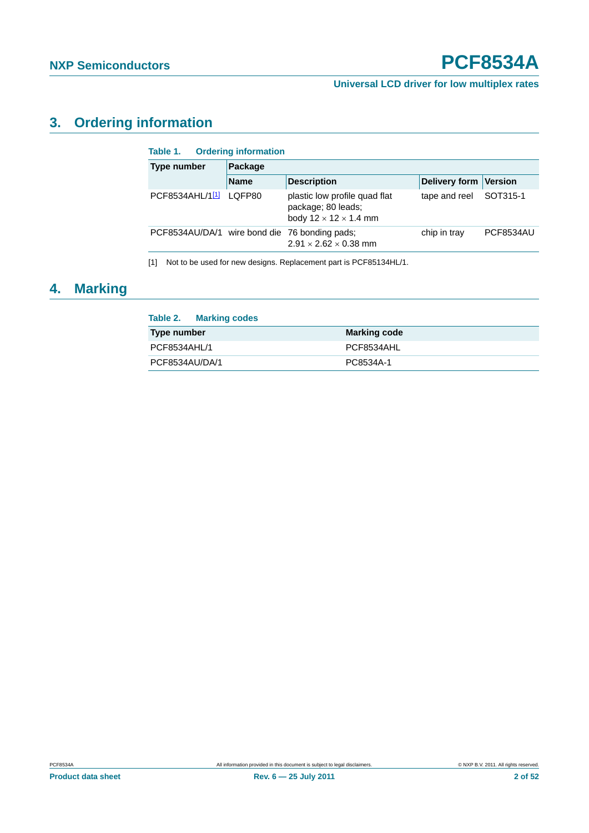## <span id="page-1-1"></span>**3. Ordering information**

| <b>Ordering information</b><br>Table 1.       |         |                                                                                          |                       |                  |  |  |  |  |  |
|-----------------------------------------------|---------|------------------------------------------------------------------------------------------|-----------------------|------------------|--|--|--|--|--|
| <b>Type number</b>                            | Package |                                                                                          |                       |                  |  |  |  |  |  |
| <b>Name</b>                                   |         | <b>Description</b>                                                                       | Delivery form Version |                  |  |  |  |  |  |
| PCF8534AHL/1[1] LQFP80                        |         | plastic low profile quad flat<br>package; 80 leads;<br>body $12 \times 12 \times 1.4$ mm | tape and reel         | SOT315-1         |  |  |  |  |  |
| PCF8534AU/DA/1 wire bond die 76 bonding pads; |         | $2.91 \times 2.62 \times 0.38$ mm                                                        | chip in tray          | <b>PCF8534AU</b> |  |  |  |  |  |

<span id="page-1-0"></span>[1] Not to be used for new designs. Replacement part is PCF85134HL/1.

### <span id="page-1-2"></span>**4. Marking**

| Table 2. Marking codes |                     |
|------------------------|---------------------|
| Type number            | <b>Marking code</b> |
| PCF8534AHL/1           | PCF8534AHL          |
| PCF8534AU/DA/1         | PC8534A-1           |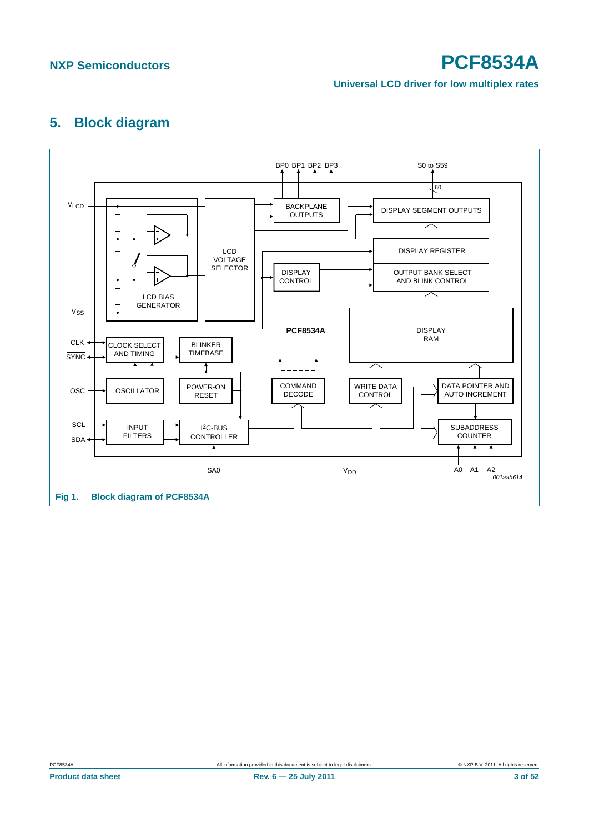#### **Universal LCD driver for low multiplex rates**

### <span id="page-2-0"></span>**5. Block diagram**

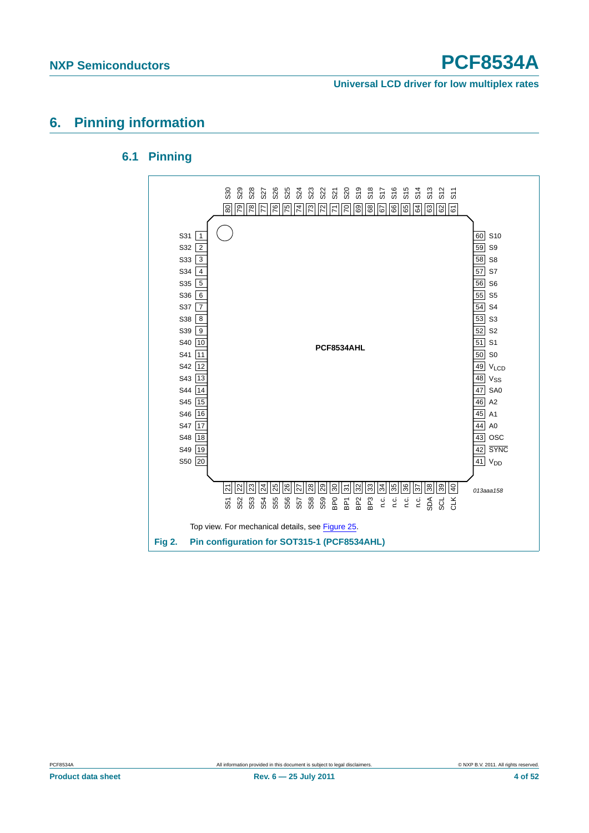**Universal LCD driver for low multiplex rates**

### <span id="page-3-1"></span><span id="page-3-0"></span>**6. Pinning information**

#### **6.1 Pinning**

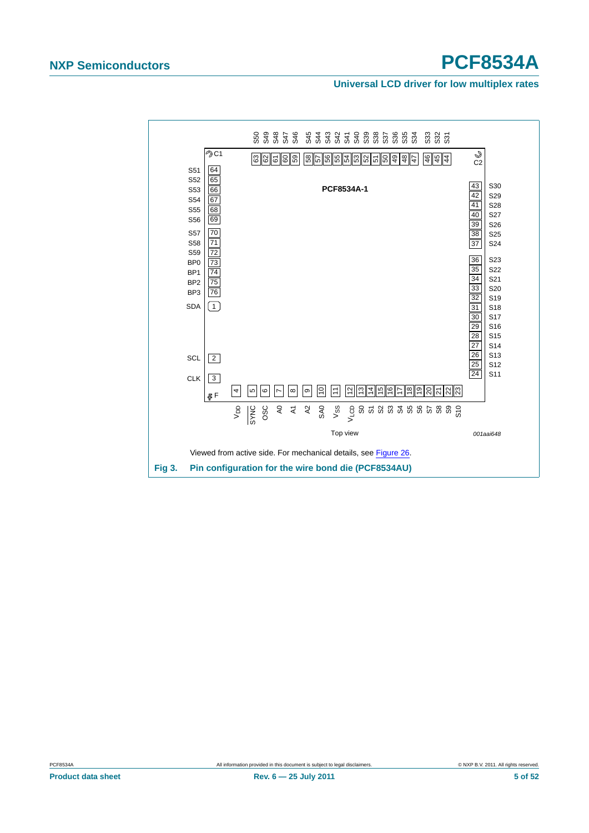#### **Universal LCD driver for low multiplex rates**

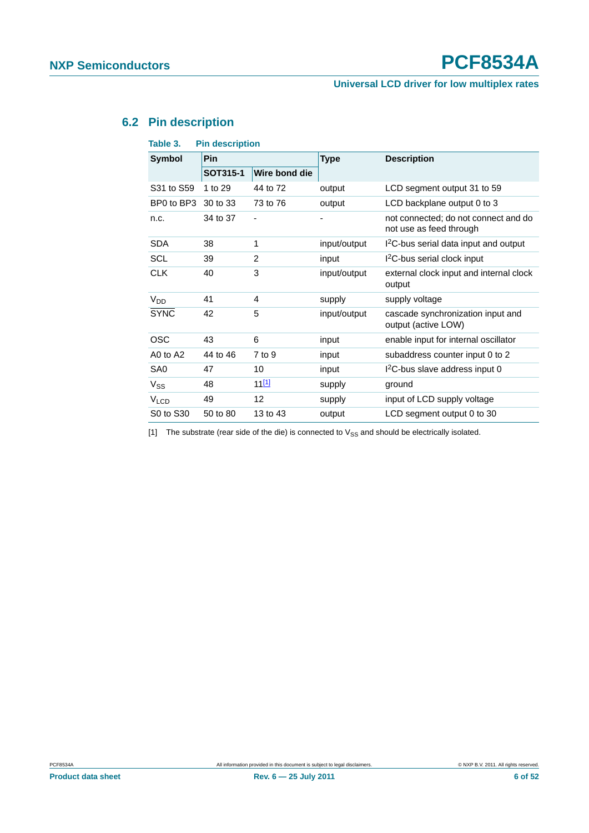### **Universal LCD driver for low multiplex rates**

### <span id="page-5-1"></span>**6.2 Pin description**

| <b>Pin description</b><br>Table 3. |          |                |              |                                                                 |  |  |  |
|------------------------------------|----------|----------------|--------------|-----------------------------------------------------------------|--|--|--|
| Pin<br><b>Symbol</b>               |          |                | <b>Type</b>  | <b>Description</b>                                              |  |  |  |
|                                    | SOT315-1 | Wire bond die  |              |                                                                 |  |  |  |
| S31 to S59                         | 1 to 29  | 44 to 72       | output       | LCD segment output 31 to 59                                     |  |  |  |
| BP0 to BP3                         | 30 to 33 | 73 to 76       | output       | LCD backplane output 0 to 3                                     |  |  |  |
| n.c.                               | 34 to 37 | ٠              | ٠            | not connected; do not connect and do<br>not use as feed through |  |  |  |
| <b>SDA</b>                         | 38       | 1              | input/output | I <sup>2</sup> C-bus serial data input and output               |  |  |  |
| SCL                                | 39       | $\overline{2}$ | input        | I <sup>2</sup> C-bus serial clock input                         |  |  |  |
| <b>CLK</b>                         | 40       | 3              | input/output | external clock input and internal clock<br>output               |  |  |  |
| V <sub>DD</sub>                    | 41       | 4              | supply       | supply voltage                                                  |  |  |  |
| <b>SYNC</b>                        | 42       | 5              | input/output | cascade synchronization input and<br>output (active LOW)        |  |  |  |
| <b>OSC</b>                         | 43       | 6              | input        | enable input for internal oscillator                            |  |  |  |
| A0 to A2                           | 44 to 46 | $7$ to $9$     | input        | subaddress counter input 0 to 2                                 |  |  |  |
| SA <sub>0</sub>                    | 47       | 10             | input        | I <sup>2</sup> C-bus slave address input 0                      |  |  |  |
| $V_{SS}$                           | 48       | $11^{11}$      | supply       | ground                                                          |  |  |  |
| <b>V<sub>LCD</sub></b>             | 49       | 12             | supply       | input of LCD supply voltage                                     |  |  |  |
| S0 to S30                          | 50 to 80 | 13 to 43       | output       | LCD segment output 0 to 30                                      |  |  |  |
|                                    |          |                |              |                                                                 |  |  |  |

<span id="page-5-0"></span>[1] The substrate (rear side of the die) is connected to  $V_{SS}$  and should be electrically isolated.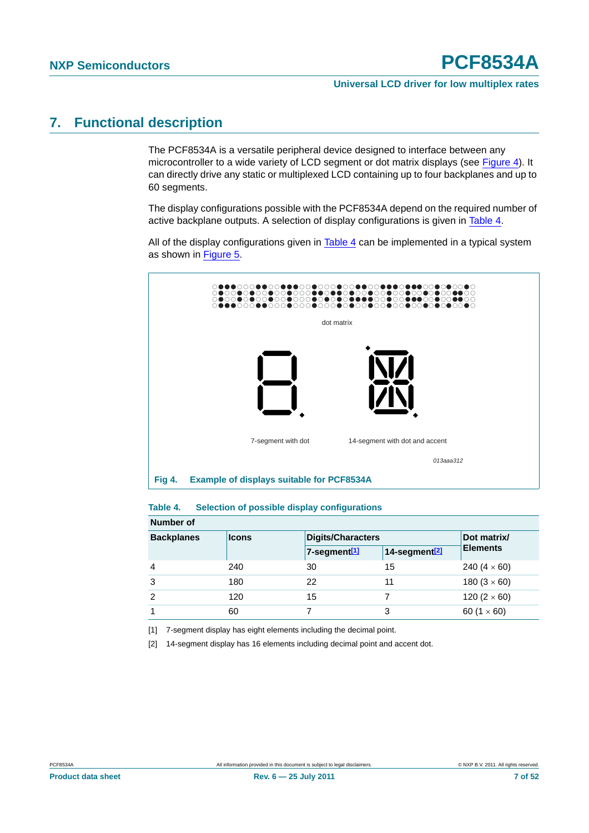### <span id="page-6-4"></span>**7. Functional description**

The PCF8534A is a versatile peripheral device designed to interface between any microcontroller to a wide variety of LCD segment or dot matrix displays (see [Figure 4](#page-6-0)). It can directly drive any static or multiplexed LCD containing up to four backplanes and up to 60 segments.

The display configurations possible with the PCF8534A depend on the required number of active backplane outputs. A selection of display configurations is given in [Table 4.](#page-6-1)

All of the display configurations given in  $Table 4$  can be implemented in a typical system as shown in [Figure 5](#page-7-0).



#### <span id="page-6-1"></span><span id="page-6-0"></span>**Table 4. Selection of possible display configurations**

| Number of         |              |                          |                           |                     |  |  |  |  |  |
|-------------------|--------------|--------------------------|---------------------------|---------------------|--|--|--|--|--|
| <b>Backplanes</b> | <b>Icons</b> | <b>Digits/Characters</b> | Dot matrix/               |                     |  |  |  |  |  |
|                   |              | 7-segment <sup>[1]</sup> | 14-segment <sup>[2]</sup> | <b>Elements</b>     |  |  |  |  |  |
| $\overline{4}$    | 240          | 30                       | 15                        | 240 $(4 \times 60)$ |  |  |  |  |  |
| 3                 | 180          | 22                       | 11                        | 180 $(3 \times 60)$ |  |  |  |  |  |
| 2                 | 120          | 15                       |                           | 120 $(2 \times 60)$ |  |  |  |  |  |
|                   | 60           |                          | 3                         | 60 $(1 \times 60)$  |  |  |  |  |  |

<span id="page-6-2"></span>[1] 7-segment display has eight elements including the decimal point.

<span id="page-6-3"></span>[2] 14-segment display has 16 elements including decimal point and accent dot.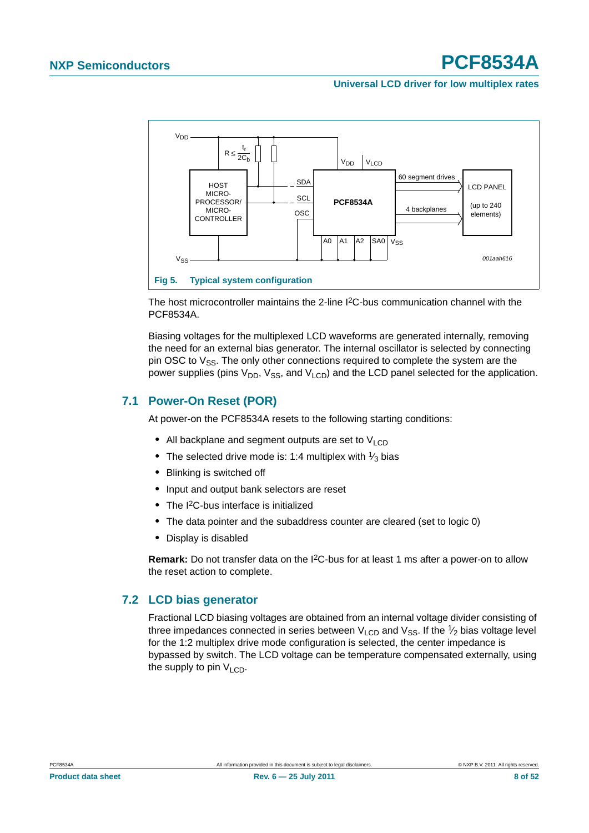#### **Universal LCD driver for low multiplex rates**



<span id="page-7-0"></span>The host microcontroller maintains the 2-line I2C-bus communication channel with the PCF8534A.

Biasing voltages for the multiplexed LCD waveforms are generated internally, removing the need for an external bias generator. The internal oscillator is selected by connecting pin OSC to  $V_{SS}$ . The only other connections required to complete the system are the power supplies (pins  $V_{DD}$ ,  $V_{SS}$ , and  $V_{LCD}$ ) and the LCD panel selected for the application.

#### <span id="page-7-1"></span>**7.1 Power-On Reset (POR)**

At power-on the PCF8534A resets to the following starting conditions:

- All backplane and segment outputs are set to V<sub>LCD</sub>
- The selected drive mode is: 1:4 multiplex with <sup>1</sup>/<sub>3</sub> bias
- **•** Blinking is switched off
- **•** Input and output bank selectors are reset
- **•** The I2C-bus interface is initialized
- **•** The data pointer and the subaddress counter are cleared (set to logic 0)
- **•** Display is disabled

**Remark:** Do not transfer data on the I2C-bus for at least 1 ms after a power-on to allow the reset action to complete.

#### <span id="page-7-2"></span>**7.2 LCD bias generator**

Fractional LCD biasing voltages are obtained from an internal voltage divider consisting of three impedances connected in series between  $V_{LCD}$  and  $V_{SS}$ . If the  $\frac{1}{2}$  bias voltage level for the 1:2 multiplex drive mode configuration is selected, the center impedance is bypassed by switch. The LCD voltage can be temperature compensated externally, using the supply to pin  $V_{\text{LOD}}$ .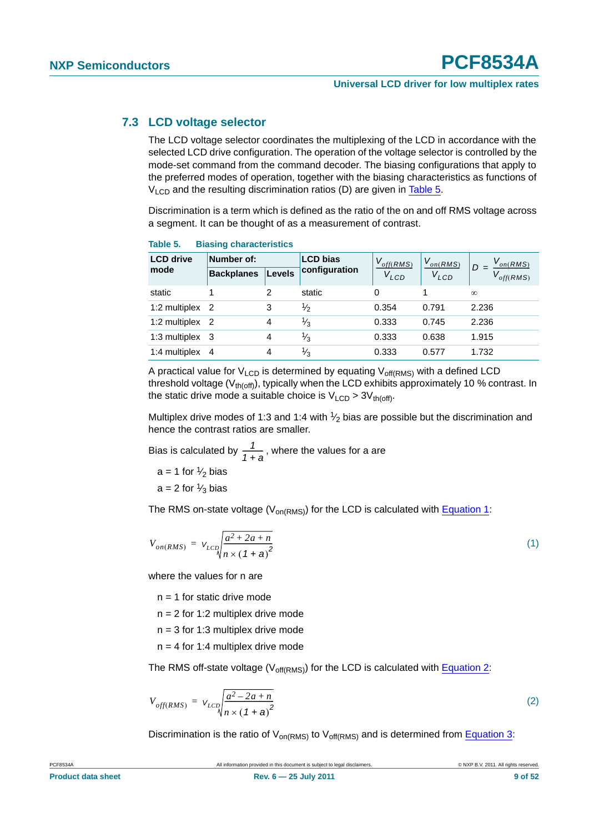#### <span id="page-8-3"></span>**7.3 LCD voltage selector**

The LCD voltage selector coordinates the multiplexing of the LCD in accordance with the selected LCD drive configuration. The operation of the voltage selector is controlled by the mode-set command from the command decoder. The biasing configurations that apply to the preferred modes of operation, together with the biasing characteristics as functions of  $V<sub>LCD</sub>$  and the resulting discrimination ratios (D) are given in [Table 5.](#page-8-0)

Discrimination is a term which is defined as the ratio of the on and off RMS voltage across a segment. It can be thought of as a measurement of contrast.

| <b>LCD</b> drive | Number of:        | <b>LCD bias</b> |               | $V_{off(RMS)}$ | $V_{on(RMS)}$ | $V_{on(RMS)}$        |
|------------------|-------------------|-----------------|---------------|----------------|---------------|----------------------|
| mode             | <b>Backplanes</b> | <b>Levels</b>   | configuration | $V_{LCD}$      | $V_{LCD}$     | $D =$<br>$of$ f(RMS) |
| static           |                   | 2               | static        | 0              |               | $\infty$             |
| 1:2 multiplex 2  |                   | 3               | $\frac{1}{2}$ | 0.354          | 0.791         | 2.236                |
| 1:2 multiplex 2  |                   | 4               | $\frac{1}{3}$ | 0.333          | 0.745         | 2.236                |
| 1:3 multiplex 3  |                   | 4               | $\frac{1}{3}$ | 0.333          | 0.638         | 1.915                |
| 1:4 multiplex 4  |                   | 4               | $\frac{1}{3}$ | 0.333          | 0.577         | 1.732                |

#### <span id="page-8-0"></span>**Table 5. Biasing characteristics**

A practical value for  $V_{LCD}$  is determined by equating  $V_{off(RMS)}$  with a defined LCD threshold voltage ( $V_{th(off)}$ ), typically when the LCD exhibits approximately 10 % contrast. In the static drive mode a suitable choice is  $V_{LCD} > 3V_{th(off)}$ .

Multiplex drive modes of 1:3 and 1:4 with  $\frac{1}{2}$  bias are possible but the discrimination and hence the contrast ratios are smaller.

Bias is calculated by  $\frac{1}{1+a}$ , where the values for a are

 $a = 1$  for  $\frac{1}{2}$  bias

 $a = 2$  for  $\frac{1}{3}$  bias

<span id="page-8-1"></span>The RMS on-state voltage ( $V_{on(RMS)}$ ) for the LCD is calculated with [Equation 1:](#page-8-1)

$$
V_{on(RMS)} = V_{LCD} \sqrt{\frac{a^2 + 2a + n}{n \times (1 + a)^2}}
$$
\n<sup>(1)</sup>

where the values for n are

 $n = 1$  for static drive mode

 $n = 2$  for 1:2 multiplex drive mode

- $n = 3$  for 1:3 multiplex drive mode
- $n = 4$  for 1:4 multiplex drive mode

<span id="page-8-2"></span>The RMS off-state voltage ( $V_{off(RMS)}$ ) for the LCD is calculated with [Equation 2](#page-8-2):

$$
V_{off(RMS)} = V_{LCD} \sqrt{\frac{a^2 - 2a + n}{n \times (1 + a)^2}}
$$
 (2)

Discrimination is the ratio of  $V_{on(RMS)}$  to  $V_{off(RMS)}$  and is determined from [Equation 3](#page-9-0):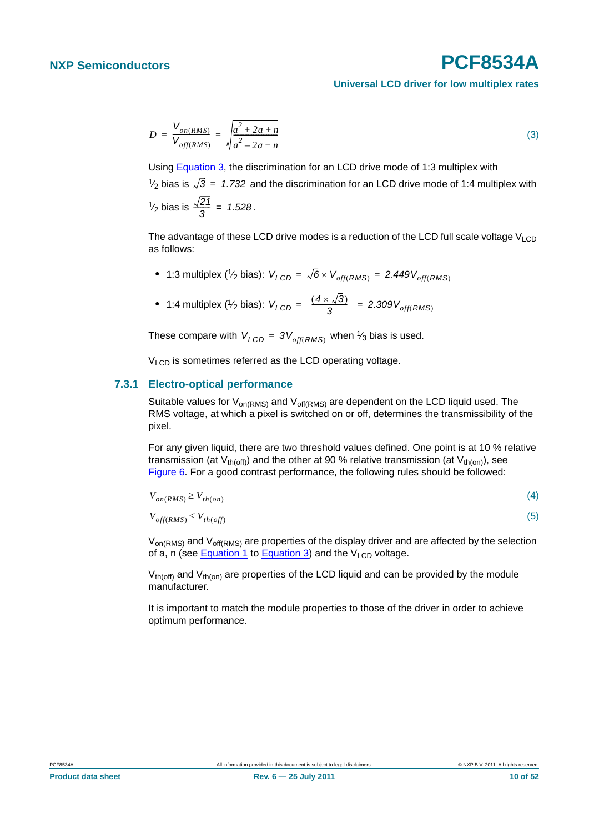<span id="page-9-0"></span>
$$
D = \frac{V_{on(RMS)}}{V_{off(RMS)}} = \sqrt{\frac{a^2 + 2a + n}{a^2 - 2a + n}}
$$
(3)

Using [Equation 3](#page-9-0), the discrimination for an LCD drive mode of 1:3 multiplex with  $\frac{1}{2}$  bias is  $\sqrt{3}$  = 1.732 and the discrimination for an LCD drive mode of 1:4 multiplex with  $\frac{1}{2}$  bias is  $\frac{\sqrt{21}}{2} = 1.528$ .  $\frac{\sqrt{2}l}{3}$  = 1.528

The advantage of these LCD drive modes is a reduction of the LCD full scale voltage  $V_{\text{LCD}}$ as follows:

- $\bullet$  1:3 multiplex (1⁄2 bias):  $V_{LCD}$  =  $\sqrt{6}$  ×  $V_{off(RMS)}$  = 2.449 $V_{off(RMS)}$
- **•** 1:4 multiplex (1/<sub>2</sub> bias):  $V_{LCD} = \left[\frac{(4 \times \sqrt{3})}{3}\right] = 2.309 V_{off(RMS)}$

These compare with  $V_{LCD} = 3V_{off(RMS)}$  when  $\frac{1}{3}$  bias is used.

 $V<sub>LCD</sub>$  is sometimes referred as the LCD operating voltage.

#### <span id="page-9-1"></span>**7.3.1 Electro-optical performance**

Suitable values for  $V_{on(RMS)}$  and  $V_{off(RMS)}$  are dependent on the LCD liquid used. The RMS voltage, at which a pixel is switched on or off, determines the transmissibility of the pixel.

For any given liquid, there are two threshold values defined. One point is at 10 % relative transmission (at  $V_{th(off)}$ ) and the other at 90 % relative transmission (at  $V_{th(on)}$ ), see [Figure 6.](#page-10-0) For a good contrast performance, the following rules should be followed:

| $V_{on(RMS)} \geq V_{th,on}$    |  |
|---------------------------------|--|
| $V_{off(RMS)} \leq V_{th(off)}$ |  |

 $V_{on(RMS)}$  and  $V_{off(RMS)}$  are properties of the display driver and are affected by the selection of a, n (see [Equation 1](#page-8-1) to [Equation 3](#page-9-0)) and the  $V_{LCD}$  voltage.

 $V_{th(off)}$  and  $V_{th(on)}$  are properties of the LCD liquid and can be provided by the module manufacturer.

It is important to match the module properties to those of the driver in order to achieve optimum performance.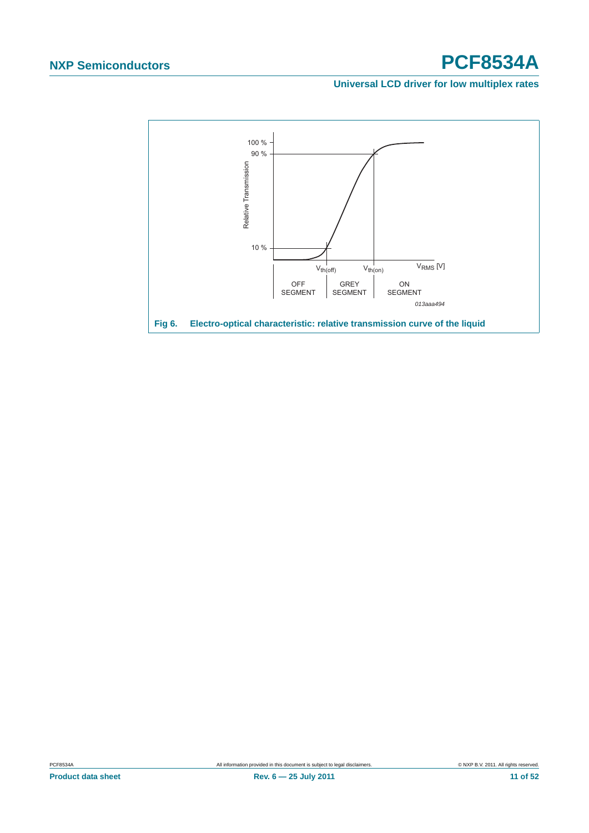#### **Universal LCD driver for low multiplex rates**

<span id="page-10-0"></span>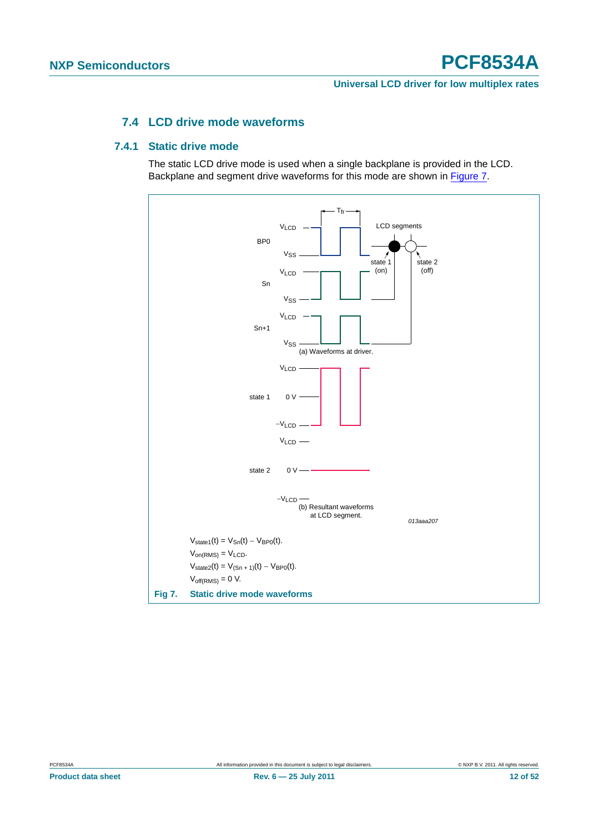**Universal LCD driver for low multiplex rates**

### **7.4 LCD drive mode waveforms**

#### <span id="page-11-2"></span><span id="page-11-1"></span>**7.4.1 Static drive mode**

The static LCD drive mode is used when a single backplane is provided in the LCD. Backplane and segment drive waveforms for this mode are shown in [Figure 7](#page-11-0).

<span id="page-11-0"></span>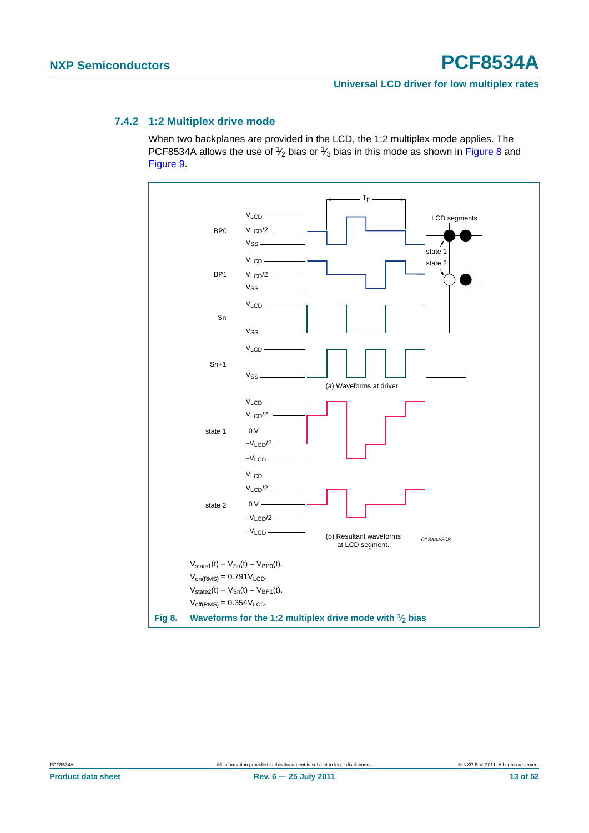#### **Universal LCD driver for low multiplex rates**

#### <span id="page-12-1"></span>**7.4.2 1:2 Multiplex drive mode**

When two backplanes are provided in the LCD, the 1:2 multiplex mode applies. The PCF8534A allows the use of  $\frac{1}{2}$  bias or  $\frac{1}{3}$  bias in this mode as shown in **[Figure 8](#page-12-0)** and [Figure 9.](#page-13-0)

<span id="page-12-0"></span>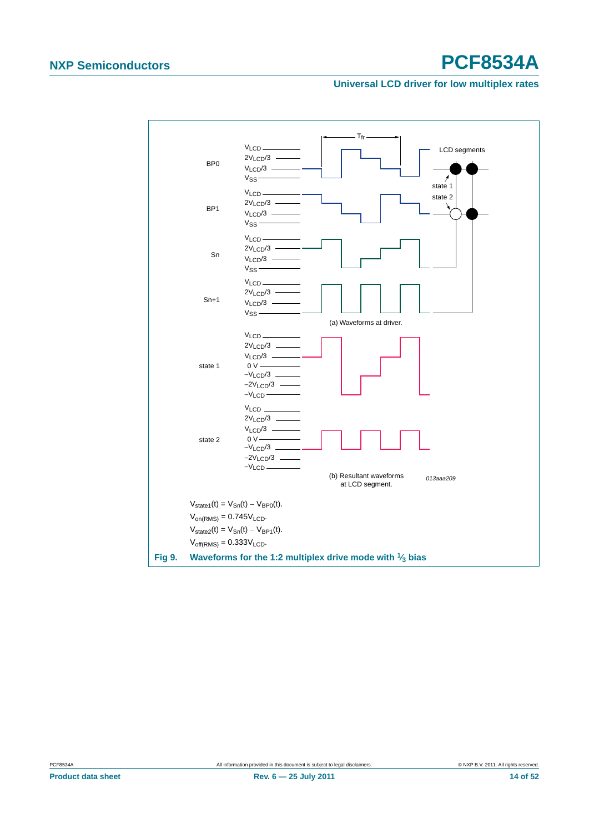#### **Universal LCD driver for low multiplex rates**



<span id="page-13-0"></span>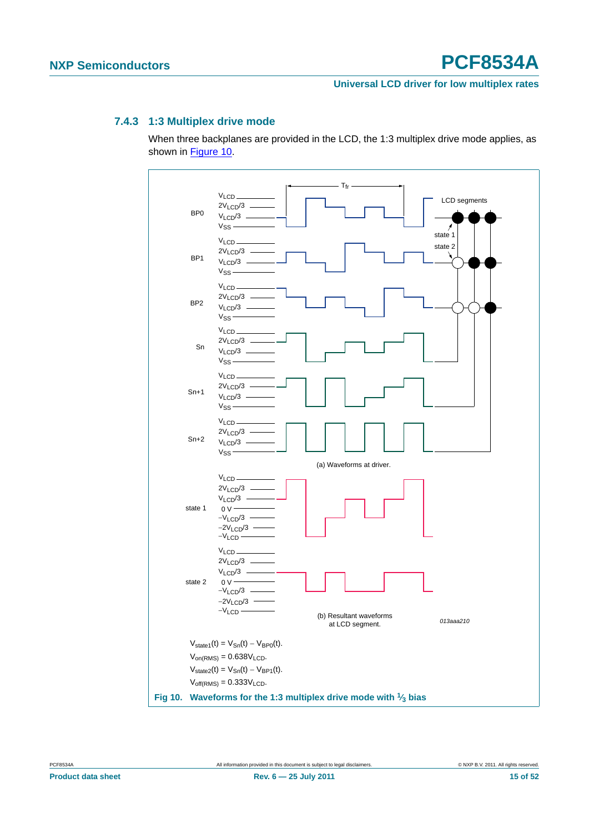#### **Universal LCD driver for low multiplex rates**

#### <span id="page-14-1"></span>**7.4.3 1:3 Multiplex drive mode**

When three backplanes are provided in the LCD, the 1:3 multiplex drive mode applies, as shown in [Figure 10.](#page-14-0)

<span id="page-14-0"></span>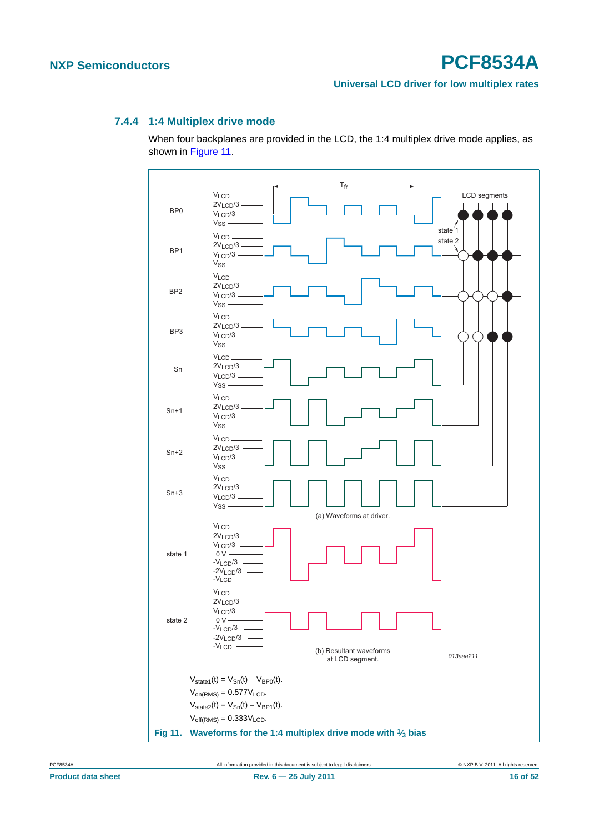#### **Universal LCD driver for low multiplex rates**

#### <span id="page-15-1"></span>**7.4.4 1:4 Multiplex drive mode**

When four backplanes are provided in the LCD, the 1:4 multiplex drive mode applies, as shown in [Figure 11.](#page-15-0)

<span id="page-15-0"></span>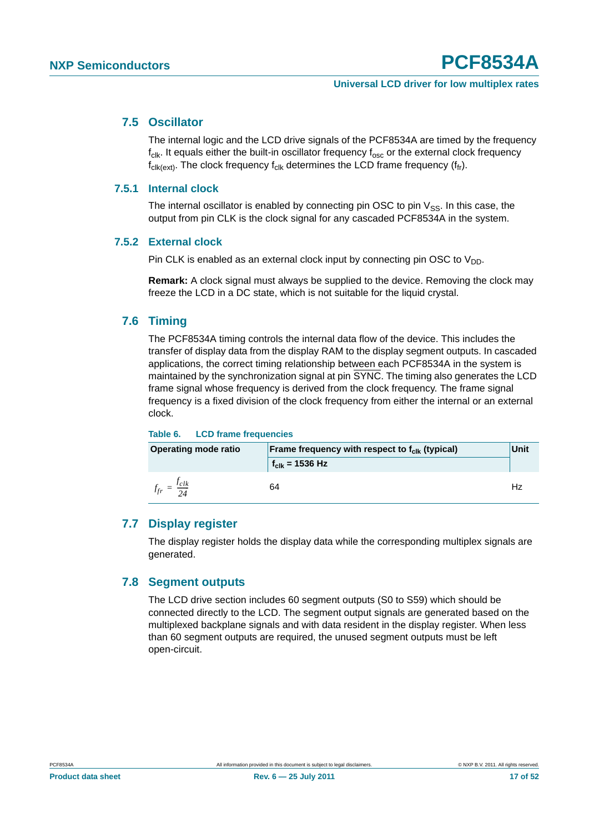#### <span id="page-16-0"></span>**7.5 Oscillator**

The internal logic and the LCD drive signals of the PCF8534A are timed by the frequency  $f_{\text{clk}}$ . It equals either the built-in oscillator frequency  $f_{\text{osc}}$  or the external clock frequency  $f_{\text{clk}(\text{ext})}$ . The clock frequency  $f_{\text{clk}}$  determines the LCD frame frequency ( $f_{\text{fr}}$ ).

#### <span id="page-16-1"></span>**7.5.1 Internal clock**

The internal oscillator is enabled by connecting pin OSC to pin  $V_{SS}$ . In this case, the output from pin CLK is the clock signal for any cascaded PCF8534A in the system.

#### <span id="page-16-2"></span>**7.5.2 External clock**

Pin CLK is enabled as an external clock input by connecting pin OSC to  $V_{DD}$ .

**Remark:** A clock signal must always be supplied to the device. Removing the clock may freeze the LCD in a DC state, which is not suitable for the liquid crystal.

#### <span id="page-16-3"></span>**7.6 Timing**

The PCF8534A timing controls the internal data flow of the device. This includes the transfer of display data from the display RAM to the display segment outputs. In cascaded applications, the correct timing relationship between each PCF8534A in the system is maintained by the synchronization signal at pin  $\overline{\text{SYNC}}$ . The timing also generates the LCD frame signal whose frequency is derived from the clock frequency. The frame signal frequency is a fixed division of the clock frequency from either the internal or an external clock.

#### **Table 6. LCD frame frequencies**

| <b>Operating mode ratio</b> | Frame frequency with respect to f <sub>clk</sub> (typical) | Unit |
|-----------------------------|------------------------------------------------------------|------|
|                             | $\frac{1}{2}$ f <sub>clk</sub> = 1536 Hz                   |      |
| $=$ $\frac{J_{clk}}{24}$    | 64                                                         |      |

#### <span id="page-16-4"></span>**7.7 Display register**

The display register holds the display data while the corresponding multiplex signals are generated.

#### <span id="page-16-5"></span>**7.8 Segment outputs**

The LCD drive section includes 60 segment outputs (S0 to S59) which should be connected directly to the LCD. The segment output signals are generated based on the multiplexed backplane signals and with data resident in the display register. When less than 60 segment outputs are required, the unused segment outputs must be left open-circuit.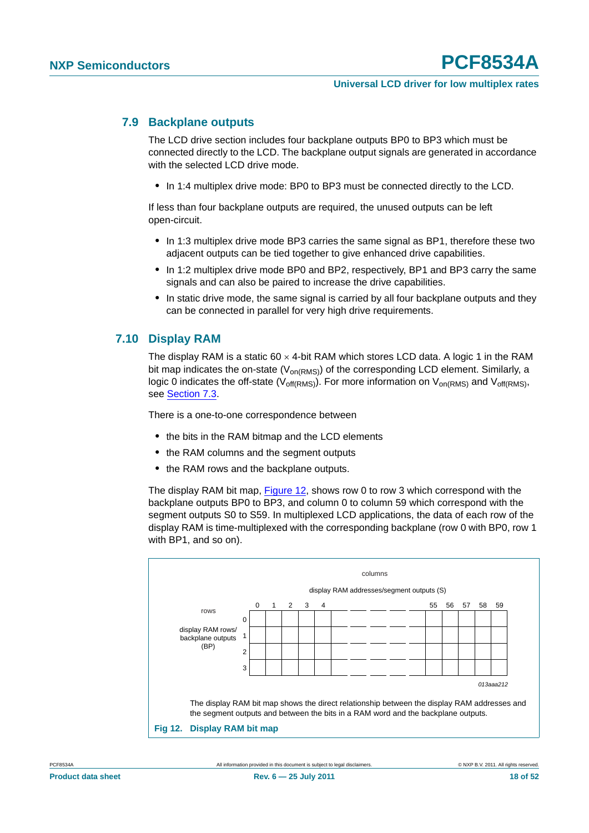#### <span id="page-17-1"></span>**7.9 Backplane outputs**

The LCD drive section includes four backplane outputs BP0 to BP3 which must be connected directly to the LCD. The backplane output signals are generated in accordance with the selected LCD drive mode.

**•** In 1:4 multiplex drive mode: BP0 to BP3 must be connected directly to the LCD.

If less than four backplane outputs are required, the unused outputs can be left open-circuit.

- **•** In 1:3 multiplex drive mode BP3 carries the same signal as BP1, therefore these two adjacent outputs can be tied together to give enhanced drive capabilities.
- **•** In 1:2 multiplex drive mode BP0 and BP2, respectively, BP1 and BP3 carry the same signals and can also be paired to increase the drive capabilities.
- **•** In static drive mode, the same signal is carried by all four backplane outputs and they can be connected in parallel for very high drive requirements.

#### <span id="page-17-2"></span>**7.10 Display RAM**

The display RAM is a static  $60 \times 4$ -bit RAM which stores LCD data. A logic 1 in the RAM bit map indicates the on-state ( $V_{on(RMS)}$ ) of the corresponding LCD element. Similarly, a logic 0 indicates the off-state ( $V_{off(RMS)}$ ). For more information on  $V_{on(RMS)}$  and  $V_{off(RMS)}$ , see [Section 7.3](#page-8-3).

There is a one-to-one correspondence between

- **•** the bits in the RAM bitmap and the LCD elements
- **•** the RAM columns and the segment outputs
- **•** the RAM rows and the backplane outputs.

The display RAM bit map, [Figure 12,](#page-17-0) shows row 0 to row 3 which correspond with the backplane outputs BP0 to BP3, and column 0 to column 59 which correspond with the segment outputs S0 to S59. In multiplexed LCD applications, the data of each row of the display RAM is time-multiplexed with the corresponding backplane (row 0 with BP0, row 1 with BP1, and so on).



<span id="page-17-0"></span>PCF8534A All information provided in this document is subject to legal disclaimers. © NXP B.V. 2011. All rights reserved.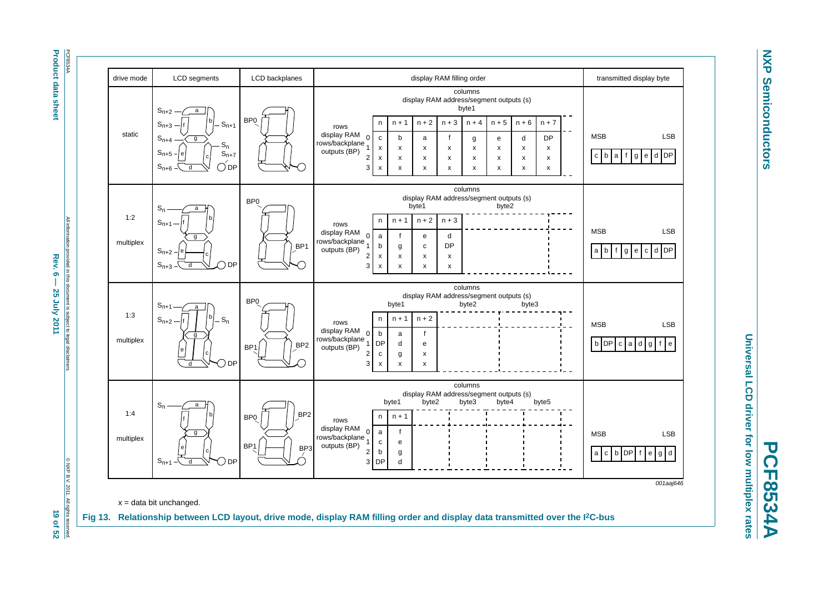**Product data sheet Product data sheet**

> All information provided in this document is subject to legal disclaimers. nation provided in this document is subject to legal disclaimers Rev.  $6 -$ Rev. 6 — 25 July 2011 19 **19 of 52** and 52 25 July 2011

> C NXP B.V. 2011. © NXP B.V. 2011. All rights reserved. All right ights reserved.<br>**19 of 52**



**NXP NXP Semiconductors Semiconductors** 

<span id="page-18-0"></span>**PCF8534A**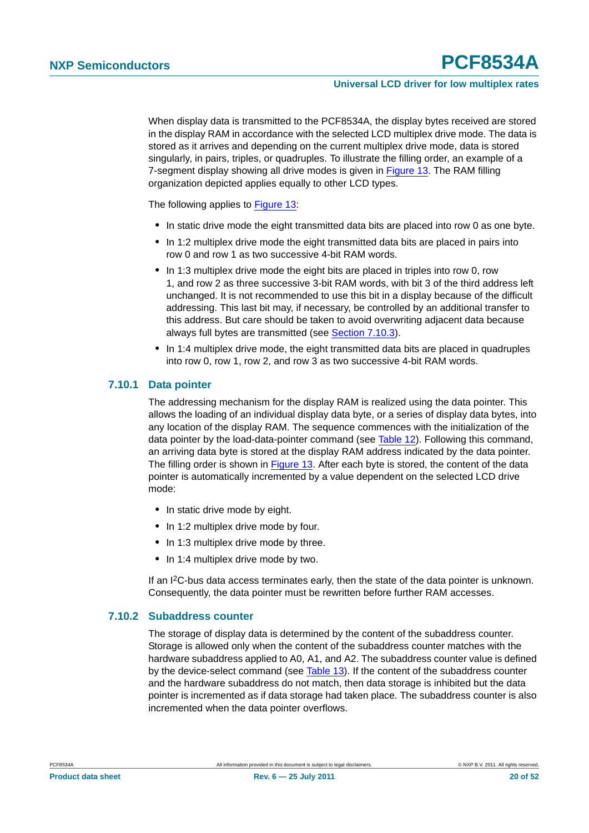When display data is transmitted to the PCF8534A, the display bytes received are stored in the display RAM in accordance with the selected LCD multiplex drive mode. The data is stored as it arrives and depending on the current multiplex drive mode, data is stored singularly, in pairs, triples, or quadruples. To illustrate the filling order, an example of a 7-segment display showing all drive modes is given in [Figure 13.](#page-18-0) The RAM filling organization depicted applies equally to other LCD types.

The following applies to [Figure 13:](#page-18-0)

- **•** In static drive mode the eight transmitted data bits are placed into row 0 as one byte.
- **•** In 1:2 multiplex drive mode the eight transmitted data bits are placed in pairs into row 0 and row 1 as two successive 4-bit RAM words.
- **•** In 1:3 multiplex drive mode the eight bits are placed in triples into row 0, row 1, and row 2 as three successive 3-bit RAM words, with bit 3 of the third address left unchanged. It is not recommended to use this bit in a display because of the difficult addressing. This last bit may, if necessary, be controlled by an additional transfer to this address. But care should be taken to avoid overwriting adjacent data because always full bytes are transmitted (see [Section 7.10.3](#page-20-0)).
- **•** In 1:4 multiplex drive mode, the eight transmitted data bits are placed in quadruples into row 0, row 1, row 2, and row 3 as two successive 4-bit RAM words.

#### <span id="page-19-0"></span>**7.10.1 Data pointer**

The addressing mechanism for the display RAM is realized using the data pointer. This allows the loading of an individual display data byte, or a series of display data bytes, into any location of the display RAM. The sequence commences with the initialization of the data pointer by the load-data-pointer command (see [Table 12](#page-23-0)). Following this command, an arriving data byte is stored at the display RAM address indicated by the data pointer. The filling order is shown in [Figure 13](#page-18-0). After each byte is stored, the content of the data pointer is automatically incremented by a value dependent on the selected LCD drive mode:

- **•** In static drive mode by eight.
- **•** In 1:2 multiplex drive mode by four.
- **•** In 1:3 multiplex drive mode by three.
- **•** In 1:4 multiplex drive mode by two.

If an I2C-bus data access terminates early, then the state of the data pointer is unknown. Consequently, the data pointer must be rewritten before further RAM accesses.

#### <span id="page-19-1"></span>**7.10.2 Subaddress counter**

The storage of display data is determined by the content of the subaddress counter. Storage is allowed only when the content of the subaddress counter matches with the hardware subaddress applied to A0, A1, and A2. The subaddress counter value is defined by the device-select command (see [Table 13\)](#page-23-1). If the content of the subaddress counter and the hardware subaddress do not match, then data storage is inhibited but the data pointer is incremented as if data storage had taken place. The subaddress counter is also incremented when the data pointer overflows.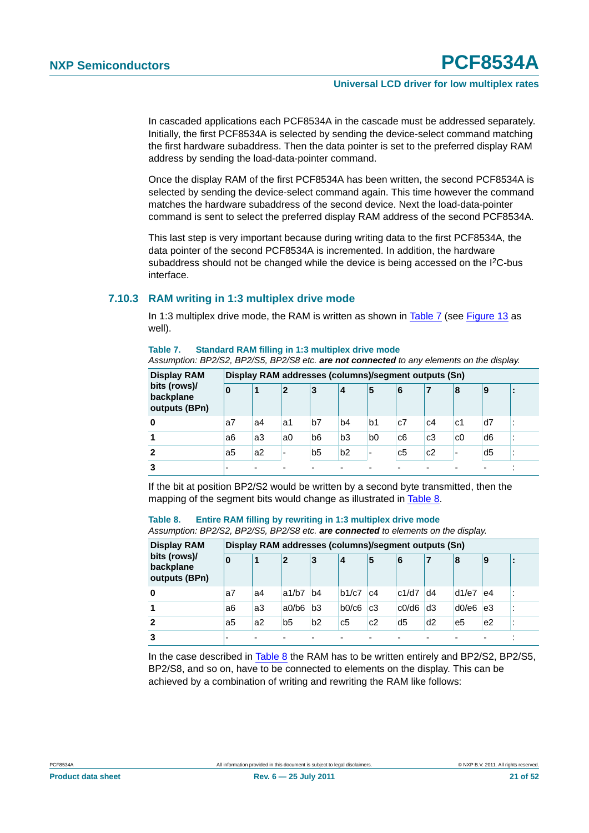In cascaded applications each PCF8534A in the cascade must be addressed separately. Initially, the first PCF8534A is selected by sending the device-select command matching the first hardware subaddress. Then the data pointer is set to the preferred display RAM address by sending the load-data-pointer command.

Once the display RAM of the first PCF8534A has been written, the second PCF8534A is selected by sending the device-select command again. This time however the command matches the hardware subaddress of the second device. Next the load-data-pointer command is sent to select the preferred display RAM address of the second PCF8534A.

This last step is very important because during writing data to the first PCF8534A, the data pointer of the second PCF8534A is incremented. In addition, the hardware subaddress should not be changed while the device is being accessed on the I<sup>2</sup>C-bus interface.

#### <span id="page-20-0"></span>**7.10.3 RAM writing in 1:3 multiplex drive mode**

In 1:3 multiplex drive mode, the RAM is written as shown in [Table 7](#page-20-1) (see [Figure 13](#page-18-0) as well).

#### <span id="page-20-1"></span>**Table 7. Standard RAM filling in 1:3 multiplex drive mode**

*Assumption: BP2/S2, BP2/S5, BP2/S8 etc. are not connected to any elements on the display.*

| <b>Display RAM</b>                         |    | Display RAM addresses (columns)/segment outputs (Sn) |                          |                |                |                          |                |    |    |                |  |  |
|--------------------------------------------|----|------------------------------------------------------|--------------------------|----------------|----------------|--------------------------|----------------|----|----|----------------|--|--|
| bits (rows)/<br>backplane<br>outputs (BPn) | 0  |                                                      | $\overline{2}$           | 3              | 4              | 5                        | 6              |    | 18 | 19             |  |  |
| 0                                          | a7 | a4                                                   | a1                       | b7             | b4             | b1                       | c7             | c4 | c1 | d7             |  |  |
|                                            | a6 | a3                                                   | a0                       | b6             | b <sub>3</sub> | b <sub>0</sub>           | c6             | c3 | c0 | d <sub>6</sub> |  |  |
|                                            | a5 | a2                                                   | $\overline{\phantom{0}}$ | b <sub>5</sub> | b2             | $\overline{\phantom{0}}$ | c <sub>5</sub> | c2 | -  | d <sub>5</sub> |  |  |
|                                            | -  |                                                      |                          |                |                |                          |                |    |    | ٠              |  |  |

If the bit at position BP2/S2 would be written by a second byte transmitted, then the mapping of the segment bits would change as illustrated in [Table 8](#page-20-2).

<span id="page-20-2"></span>**Table 8. Entire RAM filling by rewriting in 1:3 multiplex drive mode**

*Assumption: BP2/S2, BP2/S5, BP2/S8 etc. are connected to elements on the display.*

| <b>Display RAM</b><br>bits (rows)/<br>backplane<br>outputs (BPn) | Display RAM addresses (columns)/segment outputs (Sn) |    |                |                |       |    |       |                |       |    |                      |  |
|------------------------------------------------------------------|------------------------------------------------------|----|----------------|----------------|-------|----|-------|----------------|-------|----|----------------------|--|
|                                                                  | 10                                                   | 1  | $\overline{2}$ | 3              | 4     | 5  | 6     |                | 18    | Ι9 | $\blacksquare$       |  |
| 0                                                                | a7                                                   | a4 | a1/b7          | b4             | b1/c7 | c4 | c1/d7 | d4             | d1/e7 | e4 | ٠                    |  |
|                                                                  | a6                                                   | a3 | a0/b6          | b <sub>3</sub> | b0/c6 | c3 | c0/d6 | d <sub>3</sub> | d0/e6 | e3 | $\cdot$<br>$\cdot$   |  |
| $\mathbf{2}$                                                     | a5                                                   | a2 | b5             | b <sub>2</sub> | c5    | c2 | d5    | d <sub>2</sub> | e5    | e2 | $\blacksquare$<br>٠. |  |
| 3                                                                |                                                      | -  |                |                |       | -  |       | -              |       | ٠  |                      |  |

In the case described in [Table 8](#page-20-2) the RAM has to be written entirely and BP2/S2, BP2/S5, BP2/S8, and so on, have to be connected to elements on the display. This can be achieved by a combination of writing and rewriting the RAM like follows:

**Product data sheet Rev. 6 — 25 July 2011 21 of 52**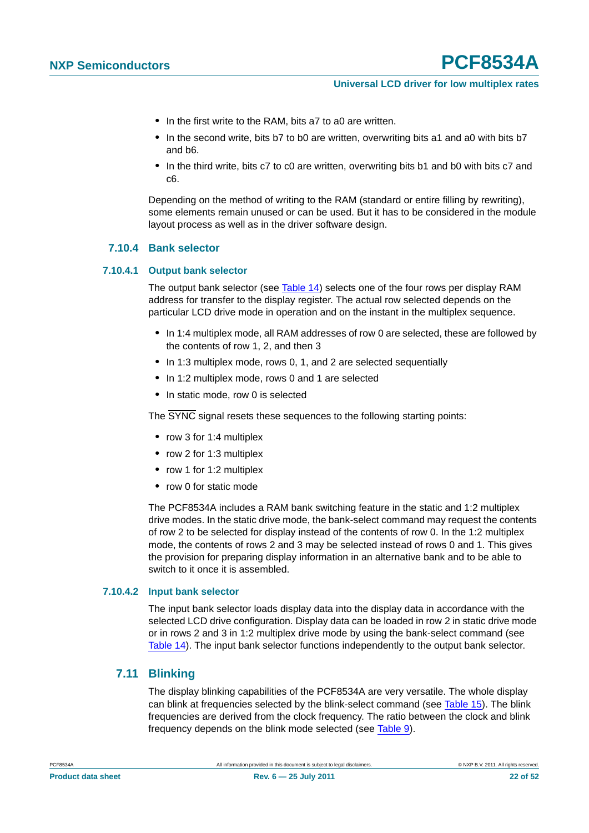#### **Universal LCD driver for low multiplex rates**

- **•** In the first write to the RAM, bits a7 to a0 are written.
- In the second write, bits b7 to b0 are written, overwriting bits a1 and a0 with bits b7 and b6.
- **•** In the third write, bits c7 to c0 are written, overwriting bits b1 and b0 with bits c7 and c6.

Depending on the method of writing to the RAM (standard or entire filling by rewriting), some elements remain unused or can be used. But it has to be considered in the module layout process as well as in the driver software design.

#### <span id="page-21-0"></span>**7.10.4 Bank selector**

#### <span id="page-21-2"></span>**7.10.4.1 Output bank selector**

The output bank selector (see [Table 14\)](#page-24-1) selects one of the four rows per display RAM address for transfer to the display register. The actual row selected depends on the particular LCD drive mode in operation and on the instant in the multiplex sequence.

- **•** In 1:4 multiplex mode, all RAM addresses of row 0 are selected, these are followed by the contents of row 1, 2, and then 3
- **•** In 1:3 multiplex mode, rows 0, 1, and 2 are selected sequentially
- **•** In 1:2 multiplex mode, rows 0 and 1 are selected
- **•** In static mode, row 0 is selected

The SYNC signal resets these sequences to the following starting points:

- **•** row 3 for 1:4 multiplex
- **•** row 2 for 1:3 multiplex
- **•** row 1 for 1:2 multiplex
- **•** row 0 for static mode

The PCF8534A includes a RAM bank switching feature in the static and 1:2 multiplex drive modes. In the static drive mode, the bank-select command may request the contents of row 2 to be selected for display instead of the contents of row 0. In the 1:2 multiplex mode, the contents of rows 2 and 3 may be selected instead of rows 0 and 1. This gives the provision for preparing display information in an alternative bank and to be able to switch to it once it is assembled.

#### <span id="page-21-3"></span>**7.10.4.2 Input bank selector**

The input bank selector loads display data into the display data in accordance with the selected LCD drive configuration. Display data can be loaded in row 2 in static drive mode or in rows 2 and 3 in 1:2 multiplex drive mode by using the bank-select command (see [Table 14\)](#page-24-1). The input bank selector functions independently to the output bank selector.

#### <span id="page-21-1"></span>**7.11 Blinking**

The display blinking capabilities of the PCF8534A are very versatile. The whole display can blink at frequencies selected by the blink-select command (see [Table 15](#page-24-0)). The blink frequencies are derived from the clock frequency. The ratio between the clock and blink frequency depends on the blink mode selected (see [Table 9](#page-22-0)).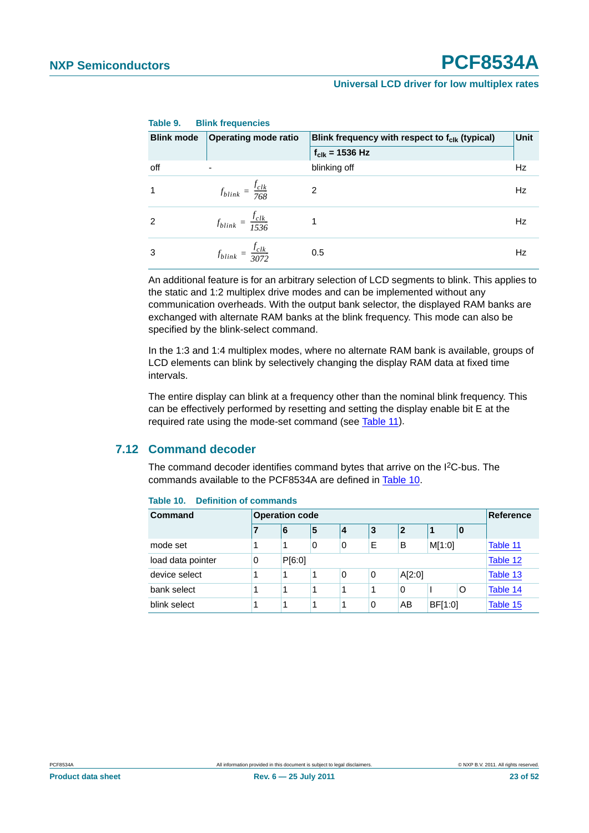| <b>Blink mode</b> | <b>Operating mode ratio</b>        | Blink frequency with respect to f <sub>clk</sub> (typical) |           |  |  |  |  |
|-------------------|------------------------------------|------------------------------------------------------------|-----------|--|--|--|--|
|                   |                                    | $f_{\text{clk}}$ = 1536 Hz                                 |           |  |  |  |  |
| off               | $\overline{\phantom{a}}$           | blinking off                                               | <b>Hz</b> |  |  |  |  |
|                   | $f_{blink} = \frac{f_{clk}}{768}$  | $\mathfrak{p}$                                             | Hz        |  |  |  |  |
| 2                 | $f_{blink} = \frac{f_{clk}}{1536}$ |                                                            | Hz        |  |  |  |  |
| 3                 | $f_{blink} = \frac{f_{clk}}{3072}$ | 0.5                                                        | Hz        |  |  |  |  |

<span id="page-22-0"></span>**Table 9. Blink frequencies**

An additional feature is for an arbitrary selection of LCD segments to blink. This applies to the static and 1:2 multiplex drive modes and can be implemented without any communication overheads. With the output bank selector, the displayed RAM banks are exchanged with alternate RAM banks at the blink frequency. This mode can also be specified by the blink-select command.

In the 1:3 and 1:4 multiplex modes, where no alternate RAM bank is available, groups of LCD elements can blink by selectively changing the display RAM data at fixed time intervals.

The entire display can blink at a frequency other than the nominal blink frequency. This can be effectively performed by resetting and setting the display enable bit E at the required rate using the mode-set command (see [Table 11](#page-23-2)).

#### <span id="page-22-2"></span>**7.12 Command decoder**

The command decoder identifies command bytes that arrive on the I<sup>2</sup>C-bus. The commands available to the PCF8534A are defined in [Table 10.](#page-22-1)

| Command           | <b>Operation code</b> | <b>Reference</b> |   |   |   |        |         |    |          |
|-------------------|-----------------------|------------------|---|---|---|--------|---------|----|----------|
|                   |                       | 6                | 5 | 4 | 3 | 2      |         | 10 |          |
| mode set          | 1                     |                  | 0 | 0 | Е | В      | M[1:0]  |    | Table 11 |
| load data pointer | 0                     | P[6:0]           |   |   |   |        |         |    | Table 12 |
| device select     | 1                     |                  |   | 0 | 0 | A[2:0] |         |    | Table 13 |
| bank select       | 4                     |                  | 1 |   | 4 | 0<br>O |         |    | Table 14 |
| blink select      | 1                     |                  |   |   | 0 | AB     | BF[1:0] |    | Table 15 |

<span id="page-22-1"></span>**Table 10. Definition of commands**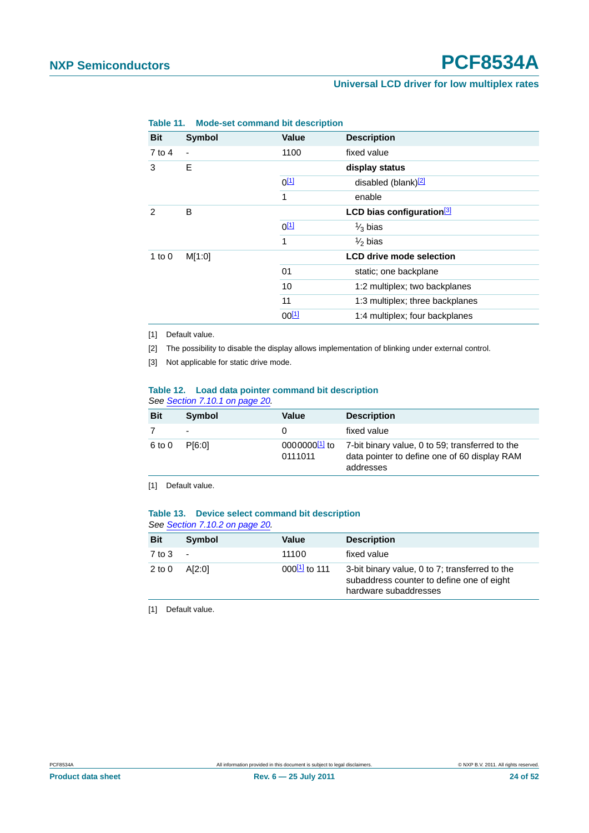| 1401 <del>0</del> 11. | <b>MOGE-SEL COMMITAING DIL GESCHIPLION</b> |           |                                       |
|-----------------------|--------------------------------------------|-----------|---------------------------------------|
| <b>Bit</b>            | <b>Symbol</b>                              | Value     | <b>Description</b>                    |
| 7 to 4                | $\overline{\phantom{a}}$                   | 1100      | fixed value                           |
| 3                     | E                                          |           | display status                        |
|                       |                                            | $0^{[1]}$ | disabled (blank) <sup>[2]</sup>       |
|                       |                                            | 1         | enable                                |
| 2                     | B                                          |           | LCD bias configuration <sup>[3]</sup> |
|                       |                                            | $0^{[1]}$ | $\frac{1}{3}$ bias                    |
|                       |                                            | 1         | $\frac{1}{2}$ bias                    |
| 1 to $0$              | M[1:0]                                     |           | <b>LCD drive mode selection</b>       |
|                       |                                            | 01        | static; one backplane                 |
|                       |                                            | 10        | 1:2 multiplex; two backplanes         |
|                       |                                            | 11        | 1:3 multiplex; three backplanes       |
|                       |                                            | $00^{11}$ | 1:4 multiplex; four backplanes        |

<span id="page-23-2"></span>**Table 11. Mode-set command bit description**

<span id="page-23-3"></span>[1] Default value.

<span id="page-23-4"></span>[2] The possibility to disable the display allows implementation of blinking under external control.

<span id="page-23-5"></span>[3] Not applicable for static drive mode.

#### <span id="page-23-0"></span>**Table 12. Load data pointer command bit description** *See [Section 7.10.1 on page 20](#page-19-0).*

| <b>Bit</b> | <b>Symbol</b>            | Value   | <b>Description</b>                                                                                                                       |
|------------|--------------------------|---------|------------------------------------------------------------------------------------------------------------------------------------------|
|            | $\overline{\phantom{a}}$ | 0       | fixed value                                                                                                                              |
| 6 to 0     | P <sub>[6:0]</sub>       | 0111011 | $0000000$ <sup>[1]</sup> to 7-bit binary value, 0 to 59; transferred to the<br>data pointer to define one of 60 display RAM<br>addresses |

<span id="page-23-6"></span>[1] Default value.

#### <span id="page-23-1"></span>**Table 13. Device select command bit description** *See [Section 7.10.2 on page 20](#page-19-1).*

| <b>Bit</b> | Symbol                   | Value             | <b>Description</b>                                                                                                   |
|------------|--------------------------|-------------------|----------------------------------------------------------------------------------------------------------------------|
| $7$ to $3$ | $\overline{\phantom{a}}$ | 11100             | fixed value                                                                                                          |
| $2$ to $0$ | A[2:0]                   | $000^{11}$ to 111 | 3-bit binary value, 0 to 7; transferred to the<br>subaddress counter to define one of eight<br>hardware subaddresses |

<span id="page-23-7"></span>[1] Default value.

**Product data sheet Rev. 6 — 25 July 2011 24 of 52**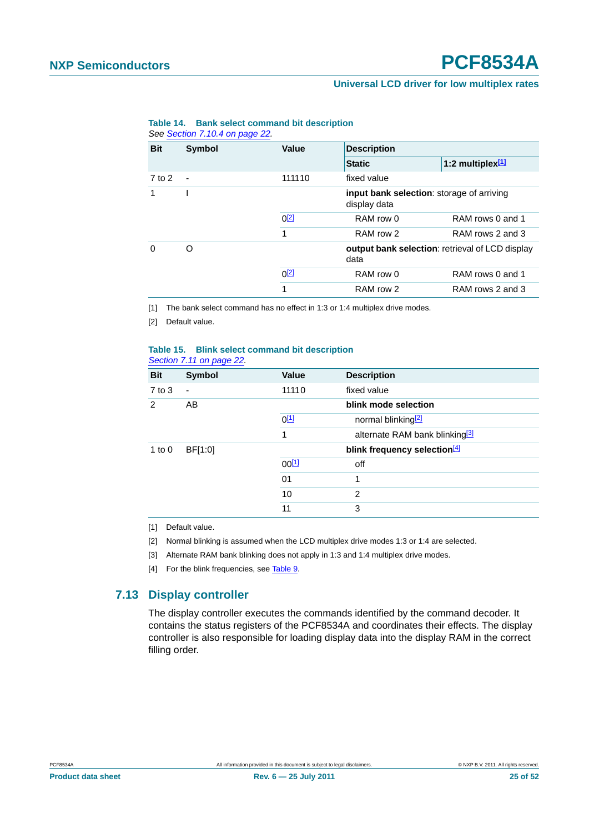#### **Universal LCD driver for low multiplex rates**

| <b>Bit</b> | <b>Symbol</b>  | <b>Value</b> | <b>Description</b>                                             |                              |  |  |
|------------|----------------|--------------|----------------------------------------------------------------|------------------------------|--|--|
|            |                |              | <b>Static</b>                                                  | 1:2 multiplex <sup>[1]</sup> |  |  |
| $7$ to $2$ | $\blacksquare$ | 111110       | fixed value                                                    |                              |  |  |
|            |                |              | input bank selection: storage of arriving<br>display data      |                              |  |  |
|            |                | $0^{[2]}$    | RAM row 0                                                      | RAM rows 0 and 1             |  |  |
|            |                | 1            | RAM row 2                                                      | RAM rows 2 and 3             |  |  |
| $\Omega$   | O              |              | <b>output bank selection:</b> retrieval of LCD display<br>data |                              |  |  |
|            |                | $0^{[2]}$    | RAM row 0                                                      | RAM rows 0 and 1             |  |  |
|            |                | 1            | RAM row 2                                                      | RAM rows 2 and 3             |  |  |

#### <span id="page-24-1"></span>**Table 14. Bank select command bit description** *See [Section 7.10.4 on page 22](#page-21-0).*

<span id="page-24-2"></span>[1] The bank select command has no effect in 1:3 or 1:4 multiplex drive modes.

<span id="page-24-3"></span>[2] Default value.

#### <span id="page-24-0"></span>**Table 15. Blink select command bit description** *[Section 7.11 on page 22.](#page-21-1)*

| <b>Bit</b>    | <b>Symbol</b> | Value      | <b>Description</b>                         |
|---------------|---------------|------------|--------------------------------------------|
| $7$ to $3$    | ٠             | 11110      | fixed value                                |
| $\mathcal{P}$ | AB            |            | blink mode selection                       |
|               |               | $0^{[1]}$  | normal blinking <sup>[2]</sup>             |
|               |               | 1          | alternate RAM bank blinking <sup>[3]</sup> |
| 1 to $0$      | BF[1:0]       |            | blink frequency selection <sup>[4]</sup>   |
|               |               | $00^{[1]}$ | off                                        |
|               |               | 01         | 1                                          |
|               |               | 10         | 2                                          |
|               |               | 11         | 3                                          |

<span id="page-24-4"></span>[1] Default value.

<span id="page-24-5"></span>[2] Normal blinking is assumed when the LCD multiplex drive modes 1:3 or 1:4 are selected.

<span id="page-24-6"></span>[3] Alternate RAM bank blinking does not apply in 1:3 and 1:4 multiplex drive modes.

<span id="page-24-7"></span>[4] For the blink frequencies, see [Table 9.](#page-22-0)

#### <span id="page-24-8"></span>**7.13 Display controller**

The display controller executes the commands identified by the command decoder. It contains the status registers of the PCF8534A and coordinates their effects. The display controller is also responsible for loading display data into the display RAM in the correct filling order.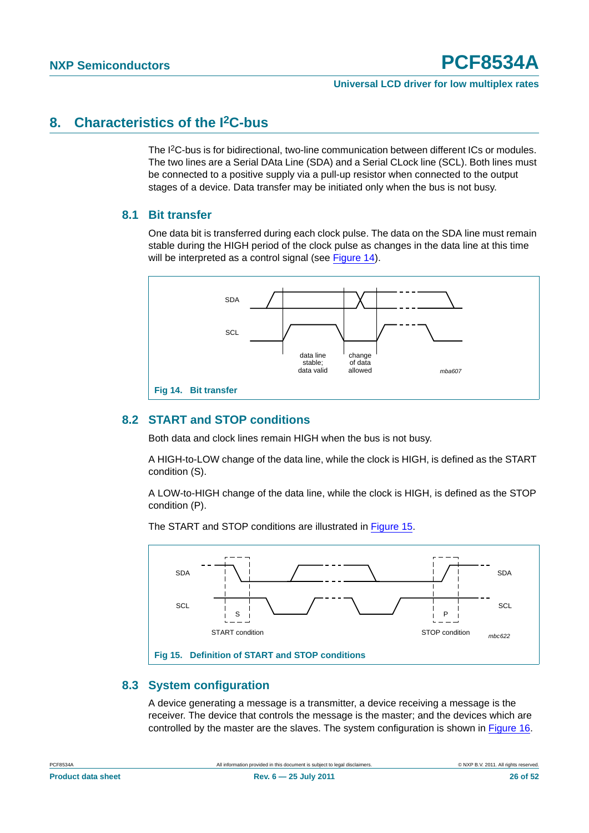### <span id="page-25-2"></span>**8. Characteristics of the I2C-bus**

The I<sup>2</sup>C-bus is for bidirectional, two-line communication between different ICs or modules. The two lines are a Serial DAta Line (SDA) and a Serial CLock line (SCL). Both lines must be connected to a positive supply via a pull-up resistor when connected to the output stages of a device. Data transfer may be initiated only when the bus is not busy.

#### <span id="page-25-3"></span>**8.1 Bit transfer**

One data bit is transferred during each clock pulse. The data on the SDA line must remain stable during the HIGH period of the clock pulse as changes in the data line at this time will be interpreted as a control signal (see [Figure 14\)](#page-25-0).



#### <span id="page-25-4"></span><span id="page-25-0"></span>**8.2 START and STOP conditions**

Both data and clock lines remain HIGH when the bus is not busy.

A HIGH-to-LOW change of the data line, while the clock is HIGH, is defined as the START condition (S).

A LOW-to-HIGH change of the data line, while the clock is HIGH, is defined as the STOP condition (P).

The START and STOP conditions are illustrated in [Figure 15](#page-25-1).



#### <span id="page-25-5"></span><span id="page-25-1"></span>**8.3 System configuration**

A device generating a message is a transmitter, a device receiving a message is the receiver. The device that controls the message is the master; and the devices which are controlled by the master are the slaves. The system configuration is shown in [Figure 16](#page-26-0).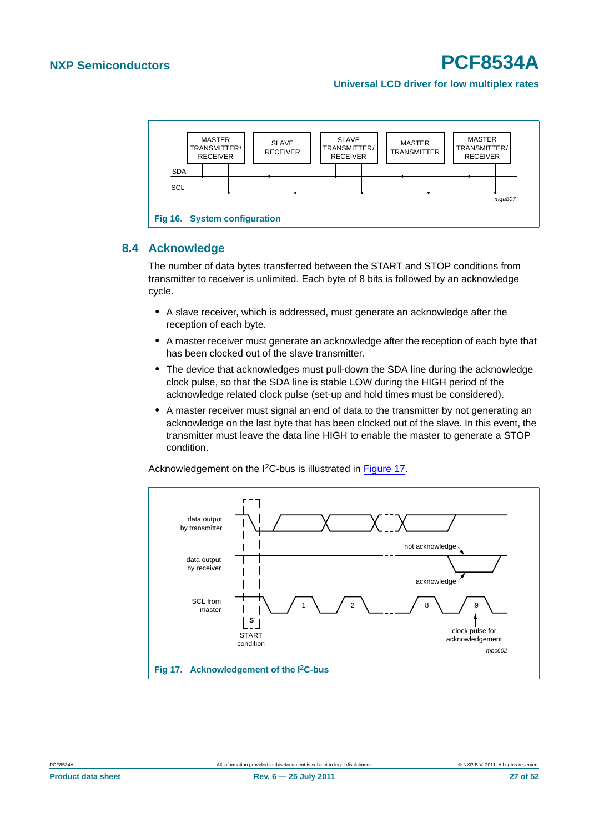

### <span id="page-26-2"></span><span id="page-26-0"></span>**8.4 Acknowledge**

The number of data bytes transferred between the START and STOP conditions from transmitter to receiver is unlimited. Each byte of 8 bits is followed by an acknowledge cycle.

- **•** A slave receiver, which is addressed, must generate an acknowledge after the reception of each byte.
- **•** A master receiver must generate an acknowledge after the reception of each byte that has been clocked out of the slave transmitter.
- **•** The device that acknowledges must pull-down the SDA line during the acknowledge clock pulse, so that the SDA line is stable LOW during the HIGH period of the acknowledge related clock pulse (set-up and hold times must be considered).
- A master receiver must signal an end of data to the transmitter by not generating an acknowledge on the last byte that has been clocked out of the slave. In this event, the transmitter must leave the data line HIGH to enable the master to generate a STOP condition.

Acknowledgement on the I<sup>2</sup>C-bus is illustrated in [Figure 17.](#page-26-1)



<span id="page-26-1"></span>**Product data sheet Rev. 6 — 25 July 2011 27 of 52**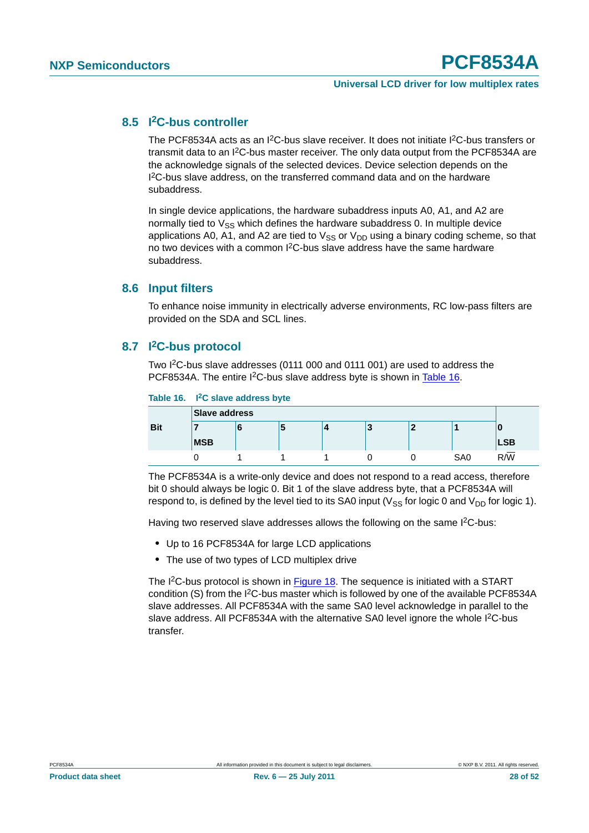#### <span id="page-27-1"></span>**8.5 I2C-bus controller**

The PCF8534A acts as an I<sup>2</sup>C-bus slave receiver. It does not initiate I<sup>2</sup>C-bus transfers or transmit data to an  $12C$ -bus master receiver. The only data output from the PCF8534A are the acknowledge signals of the selected devices. Device selection depends on the I<sup>2</sup>C-bus slave address, on the transferred command data and on the hardware subaddress.

In single device applications, the hardware subaddress inputs A0, A1, and A2 are normally tied to  $V_{SS}$  which defines the hardware subaddress 0. In multiple device applications A0, A1, and A2 are tied to  $V_{SS}$  or  $V_{DD}$  using a binary coding scheme, so that no two devices with a common  $1<sup>2</sup>C$ -bus slave address have the same hardware subaddress.

#### <span id="page-27-2"></span>**8.6 Input filters**

To enhance noise immunity in electrically adverse environments, RC low-pass filters are provided on the SDA and SCL lines.

#### <span id="page-27-3"></span>**8.7 I2C-bus protocol**

Two I2C-bus slave addresses (0111 000 and 0111 001) are used to address the PCF8534A. The entire I<sup>2</sup>C-bus slave address byte is shown in [Table 16.](#page-27-0)

#### <span id="page-27-0"></span>**Table 16. I2C slave address byte**

|            | <b>Slave address</b> |   |   |  |   |  |                 |            |
|------------|----------------------|---|---|--|---|--|-----------------|------------|
| <b>Bit</b> |                      | ч | э |  | P |  |                 | u          |
|            | <b>MSB</b>           |   |   |  |   |  |                 | <b>LSB</b> |
|            |                      |   |   |  |   |  | SA <sub>0</sub> | R/W        |

The PCF8534A is a write-only device and does not respond to a read access, therefore bit 0 should always be logic 0. Bit 1 of the slave address byte, that a PCF8534A will respond to, is defined by the level tied to its SA0 input ( $V_{SS}$  for logic 0 and  $V_{DD}$  for logic 1).

Having two reserved slave addresses allows the following on the same I<sup>2</sup>C-bus:

- **•** Up to 16 PCF8534A for large LCD applications
- **•** The use of two types of LCD multiplex drive

The I<sup>2</sup>C-bus protocol is shown in [Figure 18](#page-28-0). The sequence is initiated with a START condition (S) from the I2C-bus master which is followed by one of the available PCF8534A slave addresses. All PCF8534A with the same SA0 level acknowledge in parallel to the slave address. All PCF8534A with the alternative SA0 level ignore the whole I<sup>2</sup>C-bus transfer.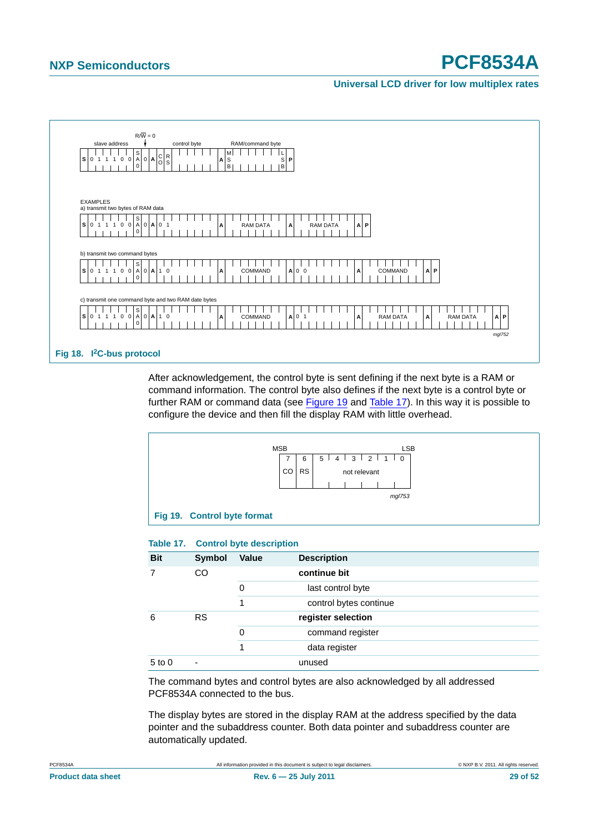

<span id="page-28-0"></span>After acknowledgement, the control byte is sent defining if the next byte is a RAM or command information. The control byte also defines if the next byte is a control byte or further RAM or command data (see [Figure 19](#page-28-1) and [Table 17\)](#page-28-2). In this way it is possible to configure the device and then fill the display RAM with little overhead.



#### <span id="page-28-2"></span><span id="page-28-1"></span>**Table 17. Control byte description**

| <b>Bit</b> | Symbol    | <b>Value</b> | <b>Description</b>     |
|------------|-----------|--------------|------------------------|
|            | CO        |              | continue bit           |
|            |           | 0            | last control byte      |
|            |           | 1            | control bytes continue |
| 6          | <b>RS</b> |              | register selection     |
|            |           | 0            | command register       |
|            |           | 1            | data register          |
| $5$ to $0$ | ۰         |              | unused                 |

The command bytes and control bytes are also acknowledged by all addressed PCF8534A connected to the bus.

The display bytes are stored in the display RAM at the address specified by the data pointer and the subaddress counter. Both data pointer and subaddress counter are automatically updated.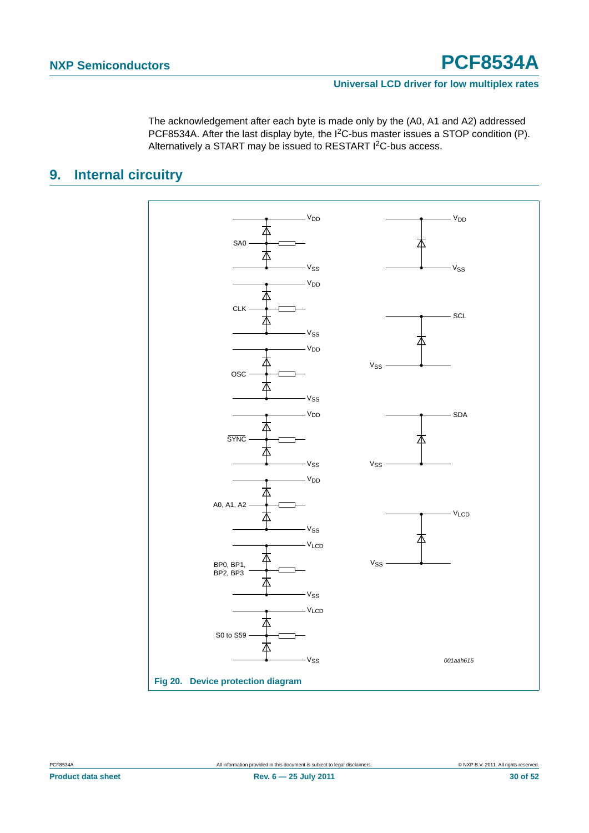The acknowledgement after each byte is made only by the (A0, A1 and A2) addressed PCF8534A. After the last display byte, the I2C-bus master issues a STOP condition (P). Alternatively a START may be issued to RESTART I<sup>2</sup>C-bus access.

### <span id="page-29-0"></span>**9. Internal circuitry**



**Product data sheet Rev. 6 — 25 July 2011 30 of 52**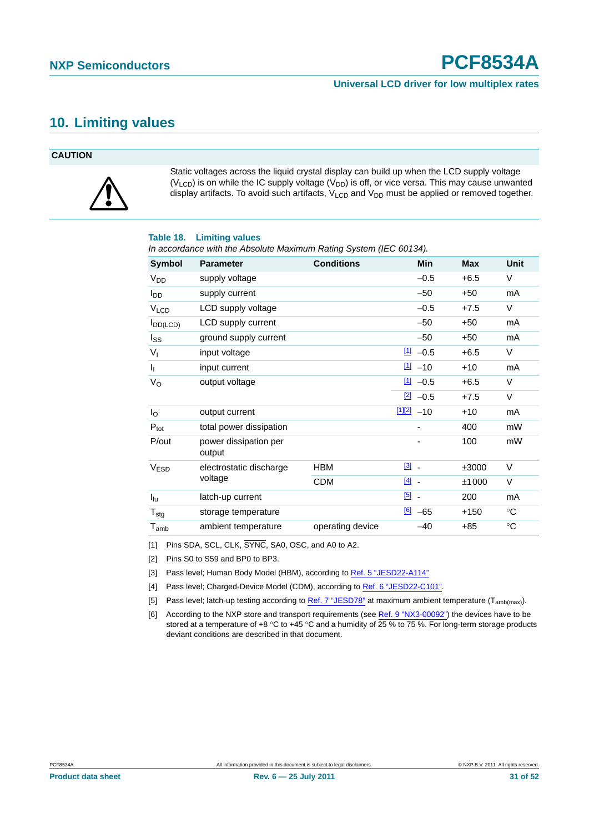### <span id="page-30-6"></span>**10. Limiting values**

#### **CAUTION**



Static voltages across the liquid crystal display can build up when the LCD supply voltage  $(V_{LCD})$  is on while the IC supply voltage  $(V_{DD})$  is off, or vice versa. This may cause unwanted display artifacts. To avoid such artifacts,  $V_{\text{LCD}}$  and  $V_{\text{DD}}$  must be applied or removed together.

#### **Table 18. Limiting values**

*In accordance with the Absolute Maximum Rating System (IEC 60134).*

| Symbol                      | <b>Parameter</b>                | <b>Conditions</b> | <b>Min</b>                          | <b>Max</b> | <b>Unit</b> |
|-----------------------------|---------------------------------|-------------------|-------------------------------------|------------|-------------|
| <b>V<sub>DD</sub></b>       | supply voltage                  |                   | $-0.5$                              | $+6.5$     | V           |
| <b>I</b> <sub>DD</sub>      | supply current                  |                   | $-50$                               | $+50$      | mA          |
| <b>V<sub>LCD</sub></b>      | LCD supply voltage              |                   | $-0.5$                              | $+7.5$     | V           |
| $I_{DD(LCD)}$               | LCD supply current              |                   | $-50$                               | $+50$      | mA          |
| $I_{SS}$                    | ground supply current           |                   | $-50$                               | $+50$      | mA          |
| $V_{I}$                     | input voltage                   |                   | $11 - 0.5$                          | $+6.5$     | V           |
| I <sub>I</sub>              | input current                   |                   | $\boxed{1}$<br>$-10$                | $+10$      | mA          |
| $V_{\rm O}$                 | output voltage                  |                   | $11 - 0.5$                          | $+6.5$     | V           |
|                             |                                 |                   | $[2] -0.5$                          | $+7.5$     | V           |
| $I_{\rm O}$                 | output current                  |                   | $112$ -10                           | $+10$      | mA          |
| $P_{\text{tot}}$            | total power dissipation         |                   |                                     | 400        | mW          |
| P/out                       | power dissipation per<br>output |                   |                                     | 100        | mW          |
| <b>V<sub>ESD</sub></b>      | electrostatic discharge         | <b>HBM</b>        | $\begin{bmatrix} 3 \end{bmatrix}$ . | ±3000      | V           |
|                             | voltage                         | <b>CDM</b>        | $[4]$ $-$                           | ±1000      | V           |
| $I_{\text{lu}}$             | latch-up current                |                   | $[5]$ $-$                           | 200        | mA          |
| $T_{\text{stg}}$            | storage temperature             |                   | [6]<br>$-65$                        | $+150$     | $^{\circ}C$ |
| $\mathsf{T}_{\mathsf{amb}}$ | ambient temperature             | operating device  | $-40$                               | +85        | °C          |

<span id="page-30-1"></span>[1] Pins SDA, SCL, CLK,  $\overline{\text{SYNC}}$ , SA0, OSC, and A0 to A2.

<span id="page-30-2"></span>[2] Pins S0 to S59 and BP0 to BP3.

<span id="page-30-3"></span>[3] Pass level; Human Body Model (HBM), according to [Ref. 5 "JESD22-A114".](#page-48-2)

<span id="page-30-0"></span>[4] Pass level; Charged-Device Model (CDM), according to [Ref. 6 "JESD22-C101".](#page-48-1)

<span id="page-30-4"></span>[5] Pass level; latch-up testing according to [Ref. 7 "JESD78"](#page-48-3) at maximum ambient temperature  $(T_{amb(max)}$ ).

<span id="page-30-5"></span>[6] According to the NXP store and transport requirements (see [Ref. 9 "NX3-00092"\)](#page-48-0) the devices have to be stored at a temperature of +8 °C to +45 °C and a humidity of  $25\%$  to 75 %. For long-term storage products deviant conditions are described in that document.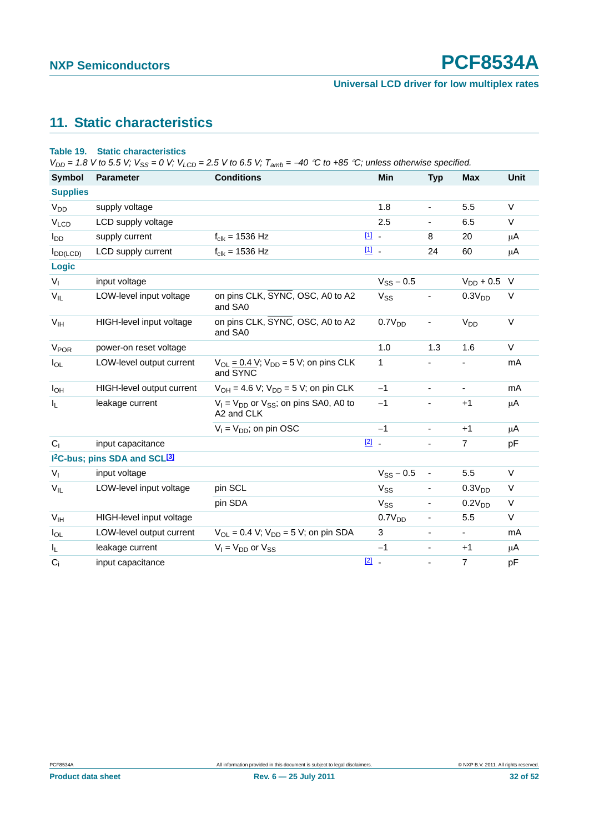#### **Universal LCD driver for low multiplex rates**

### <span id="page-31-0"></span>**11. Static characteristics**

#### **Table 19. Static characteristics**

 $V_{DD} = 1.8$  V to 5.5 V;  $V_{SS} = 0$  V;  $V_{LCD} = 2.5$  V to 6.5 V;  $T_{amb} = -40$  °C to +85 °C; unless otherwise specified.

| <b>Symbol</b>          | <b>Parameter</b>                                      | <b>Conditions</b>                                             |               | Min                | <b>Typ</b>                   | <b>Max</b>               | <b>Unit</b> |
|------------------------|-------------------------------------------------------|---------------------------------------------------------------|---------------|--------------------|------------------------------|--------------------------|-------------|
| <b>Supplies</b>        |                                                       |                                                               |               |                    |                              |                          |             |
| <b>V<sub>DD</sub></b>  | supply voltage                                        |                                                               |               | 1.8                | ۰                            | 5.5                      | V           |
| VLCD                   | LCD supply voltage                                    |                                                               |               | 2.5                |                              | 6.5                      | $\vee$      |
| $I_{DD}$               | supply current                                        | $f_{\text{clk}} = 1536 \text{ Hz}$                            | $11 -$        |                    | 8                            | 20                       | μA          |
| $I_{DD(LCD)}$          | LCD supply current                                    | $f_{clk} = 1536 Hz$                                           | [1] .         |                    | 24                           | 60                       | μA          |
| Logic                  |                                                       |                                                               |               |                    |                              |                          |             |
| V <sub>1</sub>         | input voltage                                         |                                                               |               | $V_{SS}$ – 0.5     |                              | $V_{DD} + 0.5$ V         |             |
| $V_{IL}$               | LOW-level input voltage                               | on pins CLK, SYNC, OSC, A0 to A2<br>and SA0                   |               | $V_{SS}$           |                              | 0.3V <sub>DD</sub>       | V           |
| $V_{IH}$               | HIGH-level input voltage                              | on pins CLK, SYNC, OSC, A0 to A2<br>and SA0                   |               | 0.7V <sub>DD</sub> |                              | V <sub>DD</sub>          | V           |
| <b>V<sub>POR</sub></b> | power-on reset voltage                                |                                                               |               | 1.0                | 1.3                          | 1.6                      | $\vee$      |
| $I_{OL}$               | LOW-level output current                              | $V_{OL} = 0.4$ V; $V_{DD} = 5$ V; on pins CLK<br>and SYNC     |               | 1                  |                              |                          | mA          |
| $I_{OH}$               | HIGH-level output current                             | $V_{OH} = 4.6 V$ ; $V_{DD} = 5 V$ ; on pin CLK                |               | $-1$               | Ξ.                           | $\blacksquare$           | mA          |
| I <sub>L</sub>         | leakage current                                       | $V_1 = V_{DD}$ or $V_{SS}$ ; on pins SA0, A0 to<br>A2 and CLK |               | $-1$               |                              | $+1$                     | μA          |
|                        |                                                       | $V_1 = V_{DD}$ ; on pin OSC                                   |               | $-1$               | $\blacksquare$               | $+1$                     | μA          |
| C <sub>1</sub>         | input capacitance                                     |                                                               | $\boxed{2}$ . |                    | ÷.                           | $\overline{7}$           | pF          |
|                        | 1 <sup>2</sup> C-bus; pins SDA and SCL <sup>[3]</sup> |                                                               |               |                    |                              |                          |             |
| $V_{I}$                | input voltage                                         |                                                               |               | $V_{SS}$ – 0.5     | $\qquad \qquad \blacksquare$ | 5.5                      | V           |
| $V_{IL}$               | LOW-level input voltage                               | pin SCL                                                       |               | $V_{SS}$           |                              | 0.3V <sub>DD</sub>       | V           |
|                        |                                                       | pin SDA                                                       |               | $V_{SS}$           | $\overline{\phantom{0}}$     | 0.2V <sub>DD</sub>       | V           |
| $V_{IH}$               | HIGH-level input voltage                              |                                                               |               | 0.7V <sub>DD</sub> | -                            | 5.5                      | V           |
| $I_{OL}$               | LOW-level output current                              | $V_{OL} = 0.4 V$ ; $V_{DD} = 5 V$ ; on pin SDA                |               | 3                  | $\overline{\phantom{0}}$     | $\overline{\phantom{a}}$ | mA          |
| IL.                    | leakage current                                       | $V_1 = V_{DD}$ or $V_{SS}$                                    |               | $-1$               | ۰.                           | $+1$                     | μA          |
| $C_i$                  | input capacitance                                     |                                                               | $\boxed{2}$ - |                    |                              | $\overline{7}$           | pF          |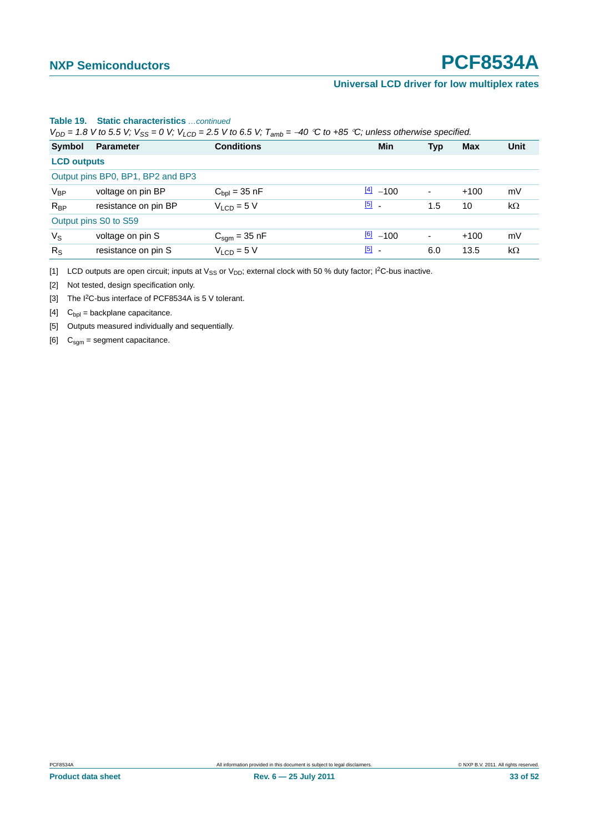#### **Universal LCD driver for low multiplex rates**

| $V_{DD}$ = 1.8 V to 5.5 V; $V_{SS}$ = 0 V; $V_{LCD}$ = 2.5 V to 6.5 V; $T_{amb}$ = -40 °C to +85 °C; unless otherwise specified. |                      |                                  |                        |                          |        |           |  |  |
|----------------------------------------------------------------------------------------------------------------------------------|----------------------|----------------------------------|------------------------|--------------------------|--------|-----------|--|--|
| Symbol                                                                                                                           | <b>Parameter</b>     | <b>Conditions</b>                | <b>Min</b>             | <b>Typ</b>               | Max    | Unit      |  |  |
|                                                                                                                                  | <b>LCD outputs</b>   |                                  |                        |                          |        |           |  |  |
| Output pins BP0, BP1, BP2 and BP3                                                                                                |                      |                                  |                        |                          |        |           |  |  |
| $V_{BP}$                                                                                                                         | voltage on pin BP    | $C_{bol} = 35$ nF                | $\frac{[4]}{[4]}$ -100 | $\overline{a}$           | $+100$ | mV        |  |  |
| $R_{BP}$                                                                                                                         | resistance on pin BP | $V1$ cn = 5 V                    | $\boxed{5}$ .          | 1.5                      | 10     | $k\Omega$ |  |  |
| Output pins S0 to S59                                                                                                            |                      |                                  |                        |                          |        |           |  |  |
| $V_{\rm S}$                                                                                                                      | voltage on pin S     | $C_{\text{sgm}} = 35 \text{ nF}$ | $\frac{[6]}{2}$ -100   | $\overline{\phantom{a}}$ | $+100$ | mV        |  |  |
| $R_{\rm S}$                                                                                                                      | resistance on pin S  | $V_{LCD} = 5 V$                  | $\boxed{5}$ .          | 6.0                      | 13.5   | $k\Omega$ |  |  |

#### **Table 19. Static characteristics** *…continued*

<span id="page-32-0"></span>[1] LCD outputs are open circuit; inputs at  $V_{SS}$  or  $V_{DD}$ ; external clock with 50 % duty factor; I<sup>2</sup>C-bus inactive.

<span id="page-32-1"></span>[2] Not tested, design specification only.

<span id="page-32-2"></span>[3] The I<sup>2</sup>C-bus interface of PCF8534A is 5 V tolerant.

<span id="page-32-3"></span>[4]  $C_{\text{bpl}} = \text{backplane capacitance}.$ 

<span id="page-32-4"></span>[5] Outputs measured individually and sequentially.

<span id="page-32-5"></span>[6]  $C<sub>sgm</sub> = segment capacitance.$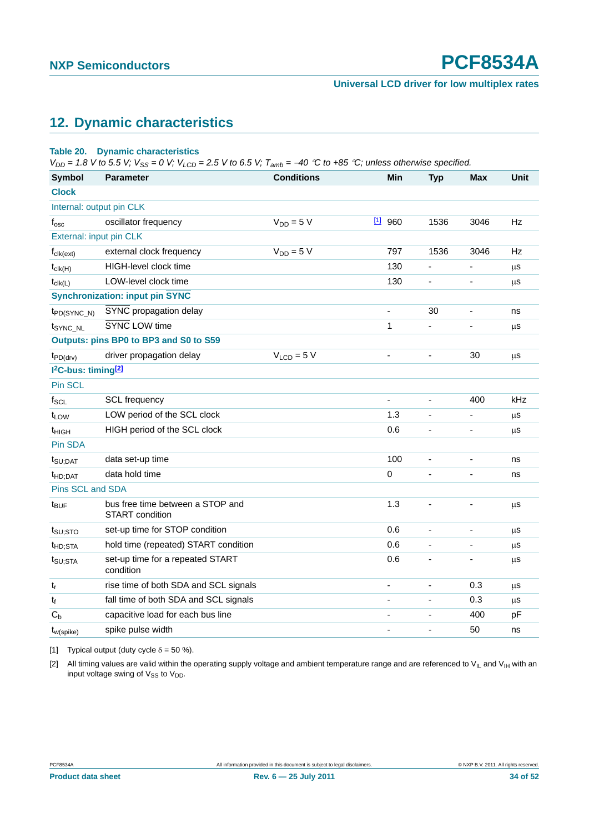### <span id="page-33-2"></span>**12. Dynamic characteristics**

#### **Table 20. Dynamic characteristics**

 $V_{DD} = 1.8$  V to 5.5 V;  $V_{SS} = 0$  V;  $V_{LCD} = 2.5$  V to 6.5 V;  $T_{amb} = -40$  °C to +85 °C; unless otherwise specified.

| <b>Symbol</b>                               | <b>Parameter</b>                                           | <b>Conditions</b> |          | Min | <b>Typ</b>     | <b>Max</b>                   | <b>Unit</b> |
|---------------------------------------------|------------------------------------------------------------|-------------------|----------|-----|----------------|------------------------------|-------------|
| <b>Clock</b>                                |                                                            |                   |          |     |                |                              |             |
| Internal: output pin CLK                    |                                                            |                   |          |     |                |                              |             |
| $f_{\rm osc}$                               | oscillator frequency                                       | $V_{DD} = 5 V$    | $11$ 960 |     | 1536           | 3046                         | Hz          |
| External: input pin CLK                     |                                                            |                   |          |     |                |                              |             |
| $f_{\text{clk}(\text{ext})}$                | external clock frequency                                   | $V_{DD} = 5 V$    |          | 797 | 1536           | 3046                         | Hz          |
| $t_{\text{clk}(H)}$                         | HIGH-level clock time                                      |                   |          | 130 | ä,             | ÷,                           | μS          |
| $t_{\text{clk}(L)}$                         | LOW-level clock time                                       |                   |          | 130 | ٠              | $\overline{\phantom{a}}$     | μS          |
|                                             | <b>Synchronization: input pin SYNC</b>                     |                   |          |     |                |                              |             |
| $tp_{D(SYNC_N)}$                            | SYNC propagation delay                                     |                   | L,       |     | 30             | ÷,                           | ns          |
| t <sub>SYNC_NL</sub>                        | SYNC LOW time                                              |                   | 1        |     |                |                              | μS          |
|                                             | Outputs: pins BP0 to BP3 and S0 to S59                     |                   |          |     |                |                              |             |
| $t_{PD(drv)}$                               | driver propagation delay                                   | $VLCD = 5 V$      |          |     |                | 30                           | μS          |
| I <sup>2</sup> C-bus: timing <sup>[2]</sup> |                                                            |                   |          |     |                |                              |             |
| Pin SCL                                     |                                                            |                   |          |     |                |                              |             |
| $f_{SCL}$                                   | SCL frequency                                              |                   |          |     |                | 400                          | kHz         |
| t <sub>LOW</sub>                            | LOW period of the SCL clock                                |                   |          | 1.3 |                |                              | μS          |
| t <sub>HIGH</sub>                           | HIGH period of the SCL clock                               |                   |          | 0.6 | ÷,             | ٠                            | $\mu$ s     |
| Pin SDA                                     |                                                            |                   |          |     |                |                              |             |
| $t_{\text{SU;DAT}}$                         | data set-up time                                           |                   |          | 100 | ÷,             | $\blacksquare$               | ns          |
| t <sub>HD;DAT</sub>                         | data hold time                                             |                   | 0        |     |                |                              | ns          |
| Pins SCL and SDA                            |                                                            |                   |          |     |                |                              |             |
| t <sub>BUF</sub>                            | bus free time between a STOP and<br><b>START</b> condition |                   |          | 1.3 | ä,             |                              | μS          |
| t <sub>SU;STO</sub>                         | set-up time for STOP condition                             |                   |          | 0.6 | ä,             | $\qquad \qquad \blacksquare$ | $\mu$ s     |
| <sup>t</sup> HD;STA                         | hold time (repeated) START condition                       |                   |          | 0.6 | ä,             | ÷,                           | μS          |
| t <sub>SU;STA</sub>                         | set-up time for a repeated START<br>condition              |                   |          | 0.6 | $\blacksquare$ | $\blacksquare$               | μS          |
| $t_r$                                       | rise time of both SDA and SCL signals                      |                   | L.       |     | ÷,             | 0.3                          | μS          |
| $t_f$                                       | fall time of both SDA and SCL signals                      |                   | L,       |     |                | 0.3                          | μS          |
| $C_b$                                       | capacitive load for each bus line                          |                   | ä,       |     |                | 400                          | pF          |
| $t_{w(spike)}$                              | spike pulse width                                          |                   |          |     |                | 50                           | ns          |

<span id="page-33-0"></span>[1] Typical output (duty cycle  $\delta = 50$  %).

<span id="page-33-1"></span>[2] All timing values are valid within the operating supply voltage and ambient temperature range and are referenced to V<sub>IL</sub> and V<sub>IH</sub> with an input voltage swing of  $V_{SS}$  to  $V_{DD}$ .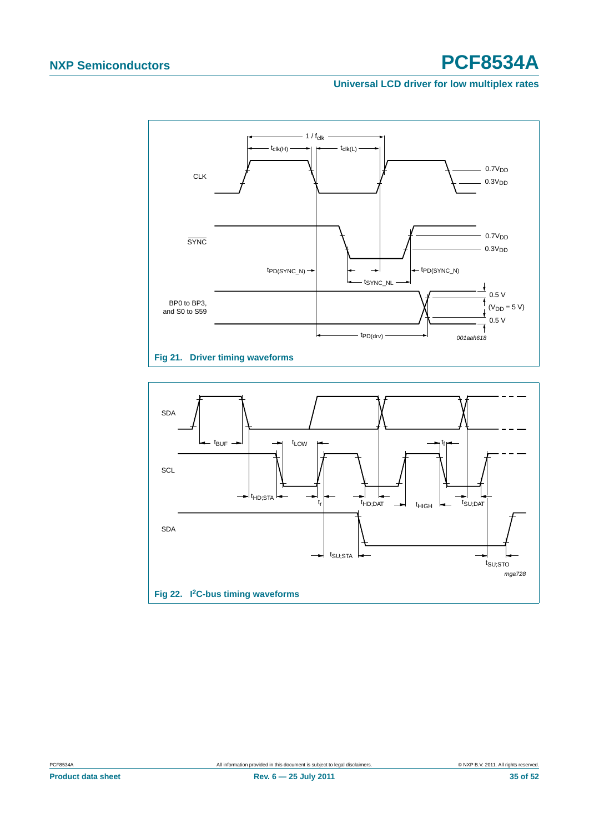#### **Universal LCD driver for low multiplex rates**



<span id="page-34-0"></span>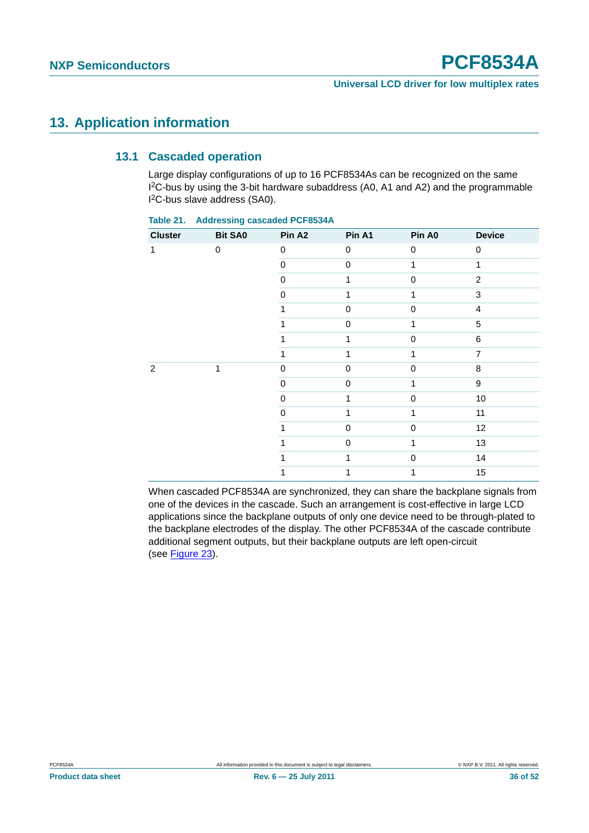### <span id="page-35-1"></span><span id="page-35-0"></span>**13. Application information**

#### **13.1 Cascaded operation**

Large display configurations of up to 16 PCF8534As can be recognized on the same I 2C-bus by using the 3-bit hardware subaddress (A0, A1 and A2) and the programmable I 2C-bus slave address (SA0).

| <b>Cluster</b> | <b>Bit SA0</b> | Pin A <sub>2</sub> | Pin A1      | Pin A0      | <b>Device</b>    |
|----------------|----------------|--------------------|-------------|-------------|------------------|
| 1              | 0              | $\mathbf 0$        | $\mathbf 0$ | 0           | $\mathbf 0$      |
|                |                | 0                  | $\mathbf 0$ |             | 1                |
|                |                | 0                  | 1           | 0           | $\overline{c}$   |
|                |                | $\pmb{0}$          | 1           | 1           | 3                |
|                |                |                    | $\Omega$    | 0           | $\overline{4}$   |
|                |                |                    | $\Omega$    |             | 5                |
|                |                |                    | 1           | 0           | 6                |
|                |                | 1                  | 1           | 1           | $\overline{7}$   |
| $\overline{2}$ | 1              | $\pmb{0}$          | $\mathbf 0$ | 0           | 8                |
|                |                | $\mathbf 0$        | $\mathbf 0$ |             | $\boldsymbol{9}$ |
|                |                | $\Omega$           | 1           | $\Omega$    | 10               |
|                |                | $\Omega$           | 1           |             | 11               |
|                |                | 1                  | $\mathbf 0$ | 0           | 12               |
|                |                |                    | $\mathbf 0$ | 1           | 13               |
|                |                |                    | 1           | $\mathbf 0$ | 14               |
|                |                |                    | 1           |             | 15               |

**Table 21. Addressing cascaded PCF8534A**

When cascaded PCF8534A are synchronized, they can share the backplane signals from one of the devices in the cascade. Such an arrangement is cost-effective in large LCD applications since the backplane outputs of only one device need to be through-plated to the backplane electrodes of the display. The other PCF8534A of the cascade contribute additional segment outputs, but their backplane outputs are left open-circuit (see [Figure 23\)](#page-36-0).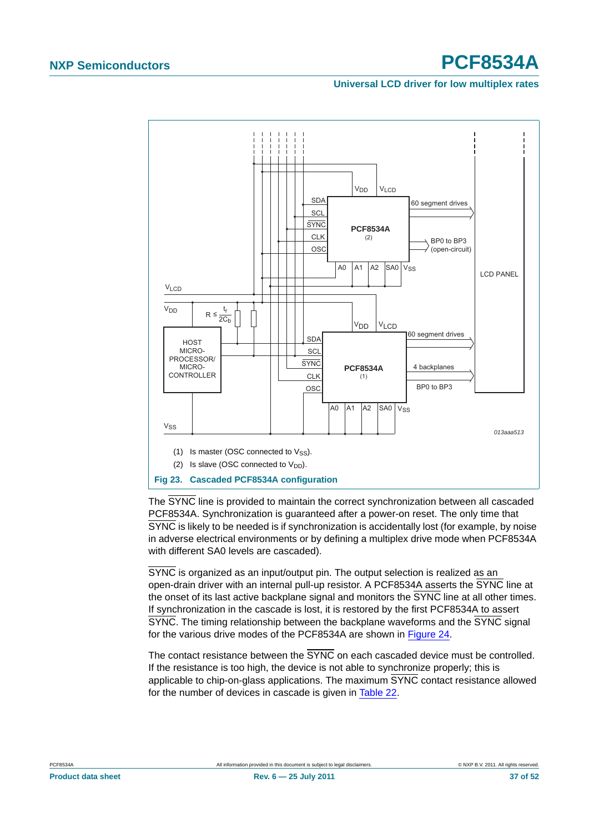#### **Universal LCD driver for low multiplex rates**



<span id="page-36-0"></span>The SYNC line is provided to maintain the correct synchronization between all cascaded PCF8534A. Synchronization is guaranteed after a power-on reset. The only time that SYNC is likely to be needed is if synchronization is accidentally lost (for example, by noise in adverse electrical environments or by defining a multiplex drive mode when PCF8534A with different SA0 levels are cascaded).

SYNC is organized as an input/output pin. The output selection is realized as an open-drain driver with an internal pull-up resistor. A PCF8534A asserts the SYNC line at the onset of its last active backplane signal and monitors the SYNC line at all other times. If synchronization in the cascade is lost, it is restored by the first PCF8534A to assert SYNC. The timing relationship between the backplane waveforms and the SYNC signal for the various drive modes of the PCF8534A are shown in [Figure 24](#page-37-0).

The contact resistance between the SYNC on each cascaded device must be controlled. If the resistance is too high, the device is not able to synchronize properly; this is applicable to chip-on-glass applications. The maximum SYNC contact resistance allowed for the number of devices in cascade is given in [Table 22](#page-37-1).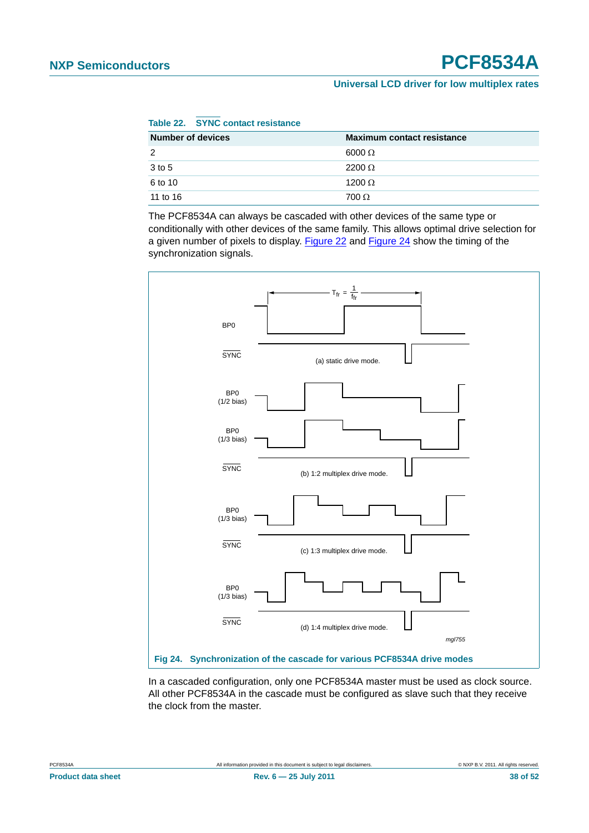<span id="page-37-1"></span>

|  | Table 22. |  |  | <b>SYNC contact resistance</b> |
|--|-----------|--|--|--------------------------------|
|--|-----------|--|--|--------------------------------|

| <b>Number of devices</b> | <b>Maximum contact resistance</b> |
|--------------------------|-----------------------------------|
| 2                        | $6000 \Omega$                     |
| 3 to 5                   | $2200 \Omega$                     |
| 6 to 10                  | 1200 $\Omega$                     |
| 11 to 16                 | $700 \Omega$                      |

The PCF8534A can always be cascaded with other devices of the same type or conditionally with other devices of the same family. This allows optimal drive selection for a given number of pixels to display. [Figure 22](#page-34-0) and [Figure 24](#page-37-0) show the timing of the synchronization signals.



<span id="page-37-0"></span>In a cascaded configuration, only one PCF8534A master must be used as clock source. All other PCF8534A in the cascade must be configured as slave such that they receive the clock from the master.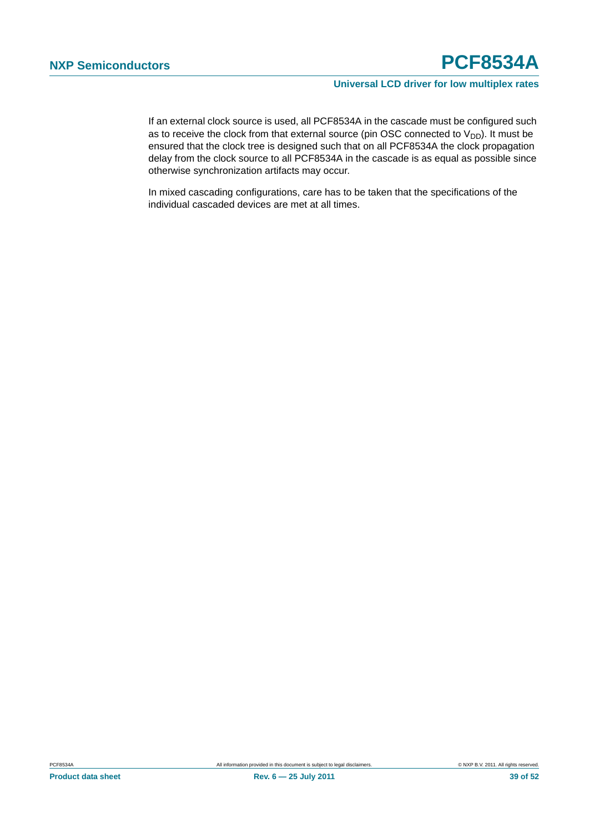If an external clock source is used, all PCF8534A in the cascade must be configured such as to receive the clock from that external source (pin OSC connected to  $V_{DD}$ ). It must be ensured that the clock tree is designed such that on all PCF8534A the clock propagation delay from the clock source to all PCF8534A in the cascade is as equal as possible since otherwise synchronization artifacts may occur.

In mixed cascading configurations, care has to be taken that the specifications of the individual cascaded devices are met at all times.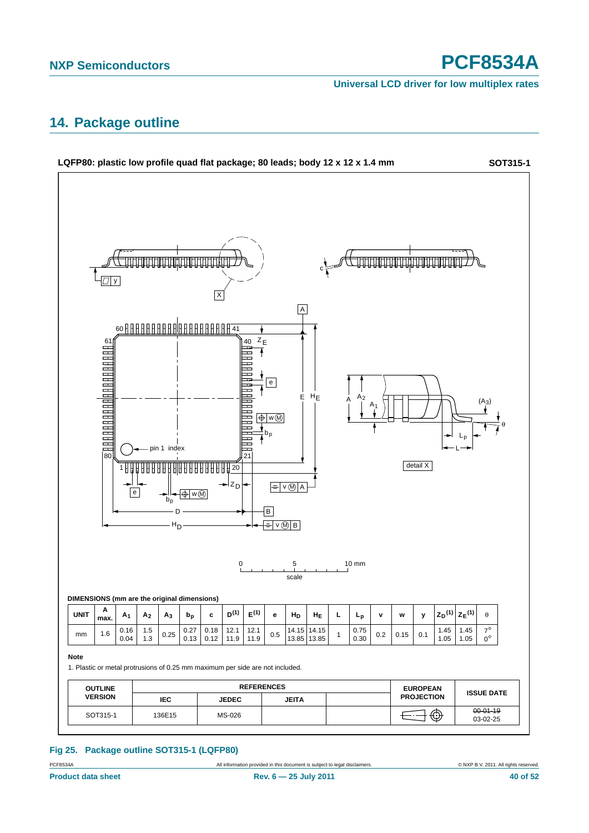**Universal LCD driver for low multiplex rates**

### <span id="page-39-1"></span>**14. Package outline**



#### <span id="page-39-0"></span>**Fig 25. Package outline SOT315-1 (LQFP80)**

PCF8534A All information provided in this document is subject to legal disclaimers. © NXP B.V. 2011. All rights reserved.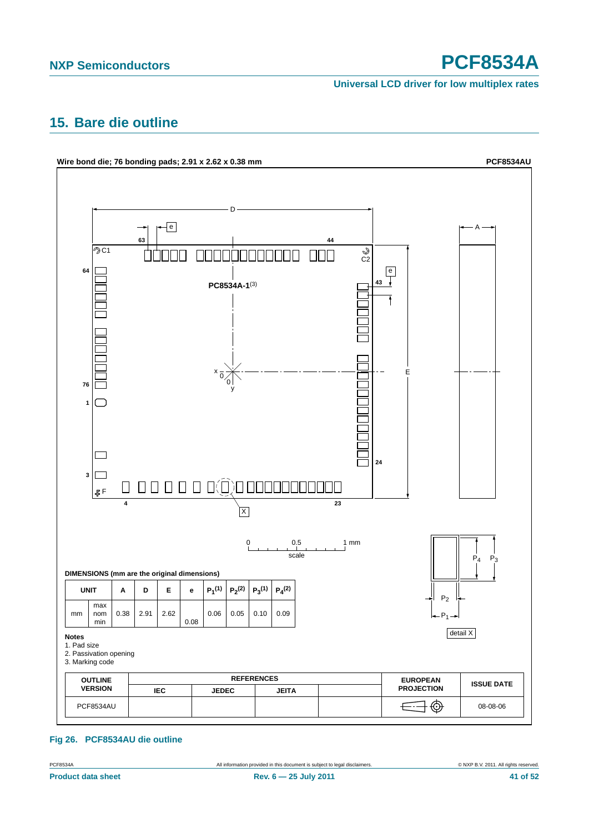**Universal LCD driver for low multiplex rates**

### <span id="page-40-1"></span>**15. Bare die outline**



<span id="page-40-0"></span>**Fig 26. PCF8534AU die outline**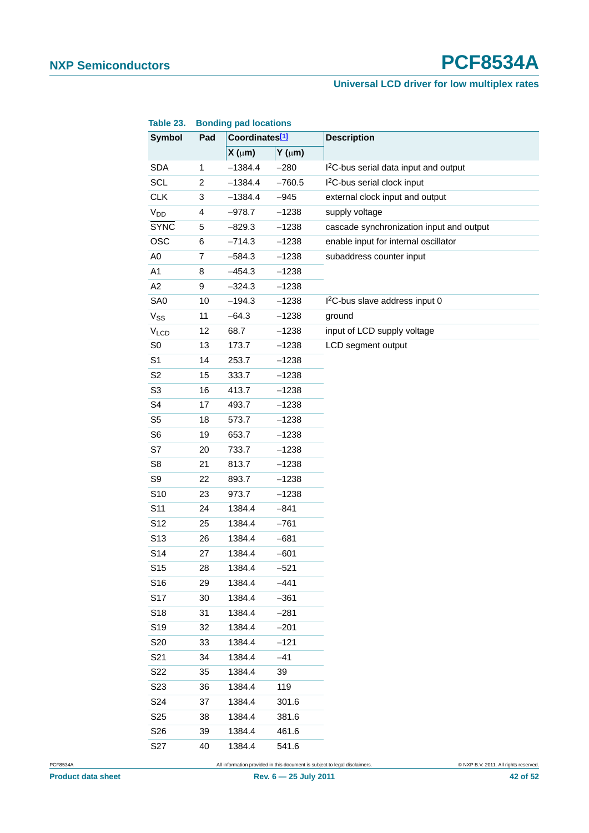### **Universal LCD driver for low multiplex rates**

| Table 23.             |                | <b>Bonding pad locations</b> |                |                                                   |  |
|-----------------------|----------------|------------------------------|----------------|---------------------------------------------------|--|
| <b>Symbol</b>         | Pad            | Coordinates[1]               |                | <b>Description</b>                                |  |
|                       |                | $X(\mu m)$                   | $Y$ ( $\mu$ m) |                                                   |  |
| <b>SDA</b>            | 1              | $-1384.4$                    | $-280$         | I <sup>2</sup> C-bus serial data input and output |  |
| <b>SCL</b>            | $\overline{c}$ | $-1384.4$                    | $-760.5$       | I <sup>2</sup> C-bus serial clock input           |  |
| <b>CLK</b>            | 3              | $-1384.4$                    | $-945$         | external clock input and output                   |  |
| <b>V<sub>DD</sub></b> | 4              | $-978.7$                     | $-1238$        | supply voltage                                    |  |
| <b>SYNC</b>           | 5              | $-829.3$                     | $-1238$        | cascade synchronization input and output          |  |
| <b>OSC</b>            | 6              | $-714.3$                     | $-1238$        | enable input for internal oscillator              |  |
| A <sub>0</sub>        | 7              | $-584.3$                     | $-1238$        | subaddress counter input                          |  |
| A1                    | 8              | $-454.3$                     | $-1238$        |                                                   |  |
| A <sub>2</sub>        | 9              | $-324.3$                     | $-1238$        |                                                   |  |
| SA0                   | 10             | $-194.3$                     | $-1238$        | I <sup>2</sup> C-bus slave address input 0        |  |
| $V_{SS}$              | 11             | $-64.3$                      | $-1238$        | ground                                            |  |
| $V_{LCD}$             | 12             | 68.7                         | $-1238$        | input of LCD supply voltage                       |  |
| SO                    | 13             | 173.7                        | $-1238$        | LCD segment output                                |  |
| S <sub>1</sub>        | 14             | 253.7                        | $-1238$        |                                                   |  |
| S <sub>2</sub>        | 15             | 333.7                        | $-1238$        |                                                   |  |
| S <sub>3</sub>        | 16             | 413.7                        | $-1238$        |                                                   |  |
| S <sub>4</sub>        | 17             | 493.7                        | $-1238$        |                                                   |  |
| S <sub>5</sub>        | 18             | 573.7                        | $-1238$        |                                                   |  |
| S <sub>6</sub>        | 19             | 653.7                        | $-1238$        |                                                   |  |
| S7                    | 20             | 733.7                        | $-1238$        |                                                   |  |
| S <sub>8</sub>        | 21             | 813.7                        | $-1238$        |                                                   |  |
| S9                    | 22             | 893.7                        | $-1238$        |                                                   |  |
| S10                   | 23             | 973.7                        | $-1238$        |                                                   |  |
| S <sub>11</sub>       | 24             | 1384.4                       | $-841$         |                                                   |  |
| S <sub>12</sub>       | 25             | 1384.4                       | $-761$         |                                                   |  |
| S <sub>13</sub>       | 26             | 1384.4                       | $-681$         |                                                   |  |
| S14                   | 27             | 1384.4                       | $-601$         |                                                   |  |
| S <sub>15</sub>       | 28             | 1384.4                       | $-521$         |                                                   |  |
| S16                   | 29             | 1384.4                       | $-441$         |                                                   |  |
| S17                   | 30             | 1384.4                       | $-361$         |                                                   |  |
| S18                   | 31             | 1384.4                       | $-281$         |                                                   |  |
| S <sub>19</sub>       | 32             | 1384.4                       | $-201$         |                                                   |  |
| S20                   | 33             | 1384.4                       | $-121$         |                                                   |  |
| S21                   | 34             | 1384.4                       | $-41$          |                                                   |  |
| S22                   | 35             | 1384.4                       | 39             |                                                   |  |
| S <sub>2</sub> 3      | 36             | 1384.4                       | 119            |                                                   |  |
| S <sub>24</sub>       | 37             | 1384.4                       | 301.6          |                                                   |  |
| S <sub>25</sub>       | 38             | 1384.4                       | 381.6          |                                                   |  |
| S26                   | 39             | 1384.4                       | 461.6          |                                                   |  |
| S27                   | 40             | 1384.4                       | 541.6          |                                                   |  |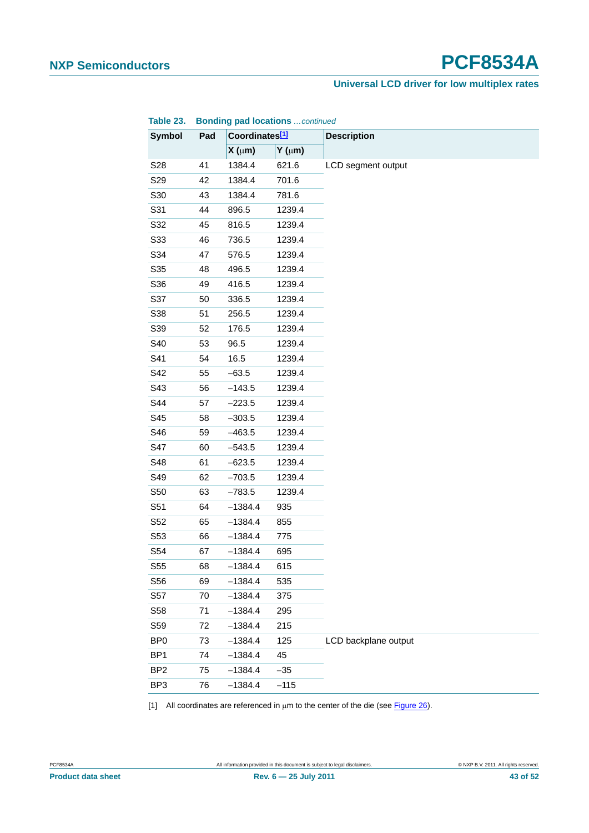#### **Universal LCD driver for low multiplex rates**

| Table 25.<br><b>Symbol</b> | Pad | Coordinates[1] | <b>BUILDING POWER DUCATIONS</b> COMMUNICUL | <b>Description</b>   |
|----------------------------|-----|----------------|--------------------------------------------|----------------------|
|                            |     | $X(\mu m)$     | $Y$ ( $\mu$ m)                             |                      |
| S28                        | 41  | 1384.4         | 621.6                                      | LCD segment output   |
| S29                        | 42  | 1384.4         | 701.6                                      |                      |
| S30                        | 43  | 1384.4         | 781.6                                      |                      |
| S31                        | 44  | 896.5          | 1239.4                                     |                      |
| S32                        | 45  | 816.5          | 1239.4                                     |                      |
| S33                        | 46  | 736.5          | 1239.4                                     |                      |
| S34                        | 47  | 576.5          | 1239.4                                     |                      |
| S35                        | 48  | 496.5          | 1239.4                                     |                      |
| S36                        | 49  | 416.5          | 1239.4                                     |                      |
| S37                        | 50  | 336.5          | 1239.4                                     |                      |
| S38                        | 51  | 256.5          | 1239.4                                     |                      |
| S39                        | 52  | 176.5          | 1239.4                                     |                      |
| S40                        | 53  | 96.5           | 1239.4                                     |                      |
| S41                        | 54  | 16.5           | 1239.4                                     |                      |
| S42                        | 55  | $-63.5$        | 1239.4                                     |                      |
| S43                        | 56  | $-143.5$       | 1239.4                                     |                      |
| S44                        | 57  | $-223.5$       | 1239.4                                     |                      |
| S45                        | 58  | $-303.5$       | 1239.4                                     |                      |
| S46                        | 59  | $-463.5$       | 1239.4                                     |                      |
| S47                        | 60  | $-543.5$       | 1239.4                                     |                      |
| S48                        | 61  | $-623.5$       | 1239.4                                     |                      |
| S49                        | 62  | $-703.5$       | 1239.4                                     |                      |
| S50                        | 63  | $-783.5$       | 1239.4                                     |                      |
| S51                        | 64  | $-1384.4$      | 935                                        |                      |
| S52                        | 65  | $-1384.4$      | 855                                        |                      |
| S53                        | 66  | $-1384.4$      | 775                                        |                      |
| S54                        | 67  | $-1384.4$      | 695                                        |                      |
| S55                        | 68  | $-1384.4$      | 615                                        |                      |
| S56                        | 69  | $-1384.4$      | 535                                        |                      |
| S <sub>57</sub>            | 70  | $-1384.4$      | 375                                        |                      |
| S58                        | 71  | $-1384.4$      | 295                                        |                      |
| S59                        | 72  | $-1384.4$      | 215                                        |                      |
| BP <sub>0</sub>            | 73  | $-1384.4$      | 125                                        | LCD backplane output |
| BP <sub>1</sub>            | 74  | $-1384.4$      | 45                                         |                      |
| BP <sub>2</sub>            | 75  | $-1384.4$      | $-35$                                      |                      |
| BP3                        | 76  | $-1384.4$      | $-115$                                     |                      |

**Table 23. Bonding pad locations** *…continued*

<span id="page-42-0"></span>[1] All coordinates are referenced in  $\mu$ m to the center of the die (see [Figure 26](#page-40-0)).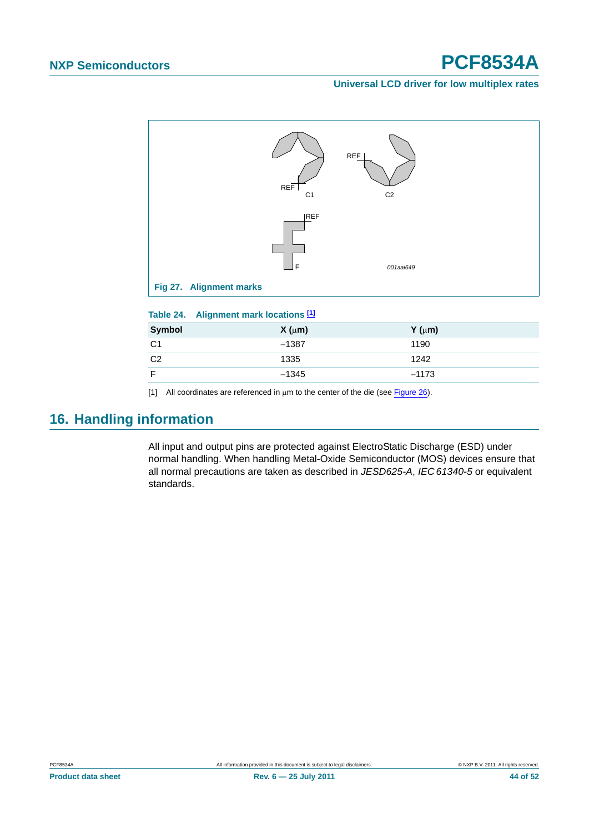#### **Universal LCD driver for low multiplex rates**



| Table 24. |  |  | Alignment mark locations [1] |  |
|-----------|--|--|------------------------------|--|
|-----------|--|--|------------------------------|--|

| Symbol         | $X(\mu m)$ | $Y$ ( $\mu$ m) |
|----------------|------------|----------------|
| C <sub>1</sub> | $-1387$    | 1190           |
| C <sub>2</sub> | 1335       | 1242           |
|                | $-1345$    | $-1173$        |

<span id="page-43-0"></span>[1] All coordinates are referenced in  $\mu$ m to the center of the die (see [Figure 26](#page-40-0)).

## <span id="page-43-1"></span>**16. Handling information**

All input and output pins are protected against ElectroStatic Discharge (ESD) under normal handling. When handling Metal-Oxide Semiconductor (MOS) devices ensure that all normal precautions are taken as described in *JESD625-A*, *IEC 61340-5* or equivalent standards.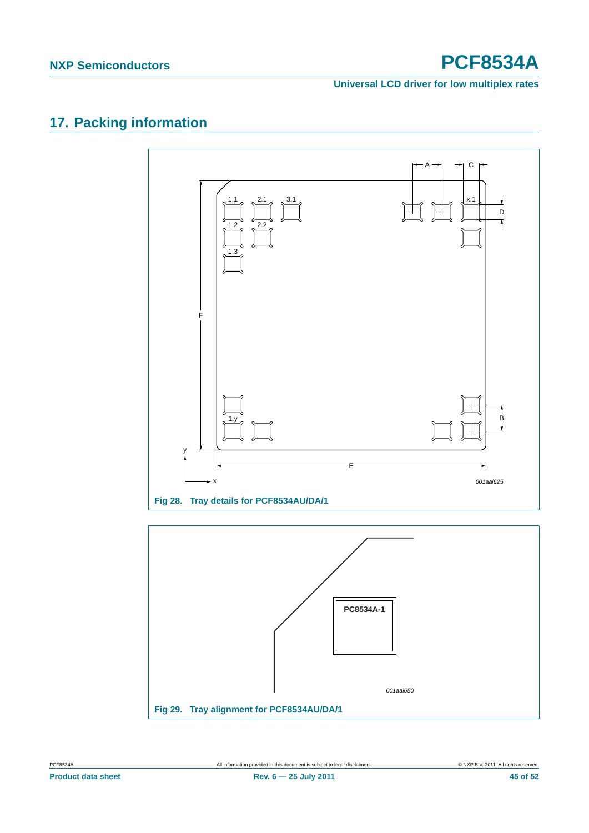**Universal LCD driver for low multiplex rates**

## <span id="page-44-0"></span>**17. Packing information**



**Fig 29. Tray alignment for PCF8534AU/DA/1** *001aai650*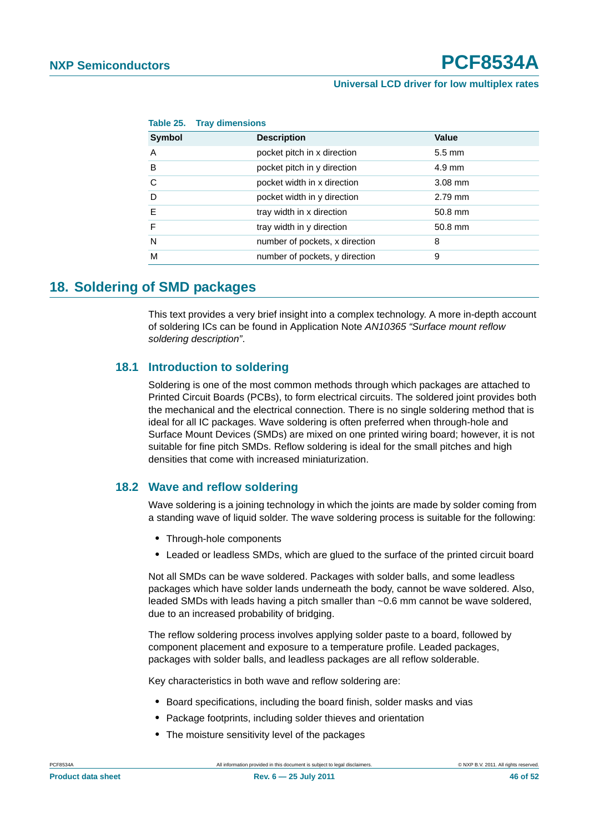|               | Table 25. Tray dimensions      |                  |
|---------------|--------------------------------|------------------|
| <b>Symbol</b> | <b>Description</b>             | Value            |
| Α             | pocket pitch in x direction    | $5.5 \text{ mm}$ |
| B             | pocket pitch in y direction    | $4.9 \text{ mm}$ |
| С             | pocket width in x direction    | $3.08$ mm        |
| D             | pocket width in y direction    | $2.79$ mm        |
| E             | tray width in x direction      | 50.8 mm          |
| F             | tray width in y direction      | 50.8 mm          |
| N             | number of pockets, x direction | 8                |
| М             | number of pockets, y direction | 9                |
|               |                                |                  |

### <span id="page-45-0"></span>**18. Soldering of SMD packages**

This text provides a very brief insight into a complex technology. A more in-depth account of soldering ICs can be found in Application Note *AN10365 "Surface mount reflow soldering description"*.

#### <span id="page-45-1"></span>**18.1 Introduction to soldering**

Soldering is one of the most common methods through which packages are attached to Printed Circuit Boards (PCBs), to form electrical circuits. The soldered joint provides both the mechanical and the electrical connection. There is no single soldering method that is ideal for all IC packages. Wave soldering is often preferred when through-hole and Surface Mount Devices (SMDs) are mixed on one printed wiring board; however, it is not suitable for fine pitch SMDs. Reflow soldering is ideal for the small pitches and high densities that come with increased miniaturization.

#### <span id="page-45-2"></span>**18.2 Wave and reflow soldering**

Wave soldering is a joining technology in which the joints are made by solder coming from a standing wave of liquid solder. The wave soldering process is suitable for the following:

- **•** Through-hole components
- **•** Leaded or leadless SMDs, which are glued to the surface of the printed circuit board

Not all SMDs can be wave soldered. Packages with solder balls, and some leadless packages which have solder lands underneath the body, cannot be wave soldered. Also, leaded SMDs with leads having a pitch smaller than ~0.6 mm cannot be wave soldered, due to an increased probability of bridging.

The reflow soldering process involves applying solder paste to a board, followed by component placement and exposure to a temperature profile. Leaded packages, packages with solder balls, and leadless packages are all reflow solderable.

Key characteristics in both wave and reflow soldering are:

- **•** Board specifications, including the board finish, solder masks and vias
- **•** Package footprints, including solder thieves and orientation
- **•** The moisture sensitivity level of the packages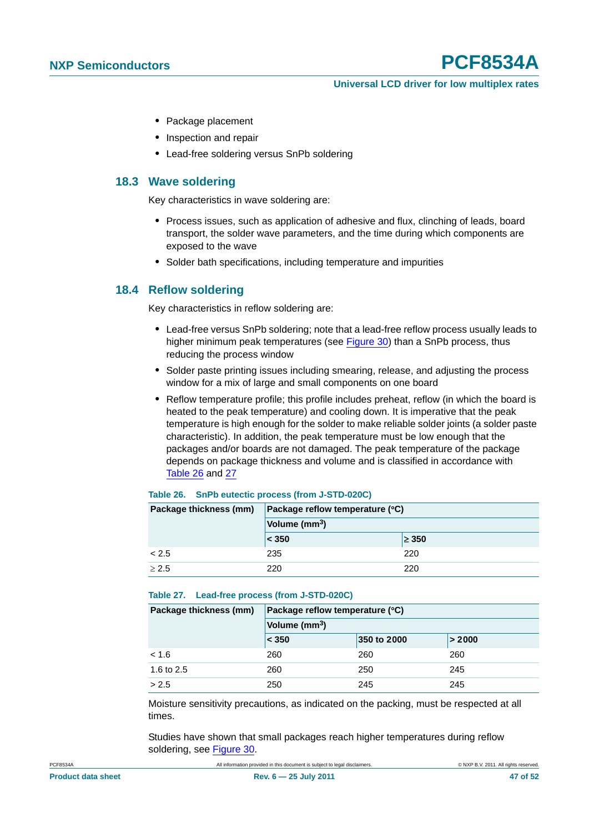- **•** Package placement
- **•** Inspection and repair
- **•** Lead-free soldering versus SnPb soldering

#### <span id="page-46-0"></span>**18.3 Wave soldering**

Key characteristics in wave soldering are:

- **•** Process issues, such as application of adhesive and flux, clinching of leads, board transport, the solder wave parameters, and the time during which components are exposed to the wave
- **•** Solder bath specifications, including temperature and impurities

#### <span id="page-46-1"></span>**18.4 Reflow soldering**

Key characteristics in reflow soldering are:

- **•** Lead-free versus SnPb soldering; note that a lead-free reflow process usually leads to higher minimum peak temperatures (see Figure 30) than a SnPb process, thus reducing the process window
- **•** Solder paste printing issues including smearing, release, and adjusting the process window for a mix of large and small components on one board
- **•** Reflow temperature profile; this profile includes preheat, reflow (in which the board is heated to the peak temperature) and cooling down. It is imperative that the peak temperature is high enough for the solder to make reliable solder joints (a solder paste characteristic). In addition, the peak temperature must be low enough that the packages and/or boards are not damaged. The peak temperature of the package depends on package thickness and volume and is classified in accordance with Table 26 and 27

| Package thickness (mm) | Package reflow temperature (°C) |            |  |
|------------------------|---------------------------------|------------|--|
|                        | Volume (mm <sup>3</sup> )       |            |  |
|                        | < 350                           | $\geq 350$ |  |
| < 2.5                  | 235                             | 220        |  |
| $\geq 2.5$             | 220                             | 220        |  |

#### **Table 26. SnPb eutectic process (from J-STD-020C)**

#### **Table 27. Lead-free process (from J-STD-020C)**

| Package thickness (mm) | Package reflow temperature (°C) |             |        |  |
|------------------------|---------------------------------|-------------|--------|--|
|                        | Volume (mm <sup>3</sup> )       |             |        |  |
|                        | < 350                           | 350 to 2000 | > 2000 |  |
| < 1.6                  | 260                             | 260         | 260    |  |
| 1.6 to 2.5             | 260                             | 250         | 245    |  |
| > 2.5                  | 250                             | 245         | 245    |  |

Moisture sensitivity precautions, as indicated on the packing, must be respected at all times.

Studies have shown that small packages reach higher temperatures during reflow soldering, see Figure 30.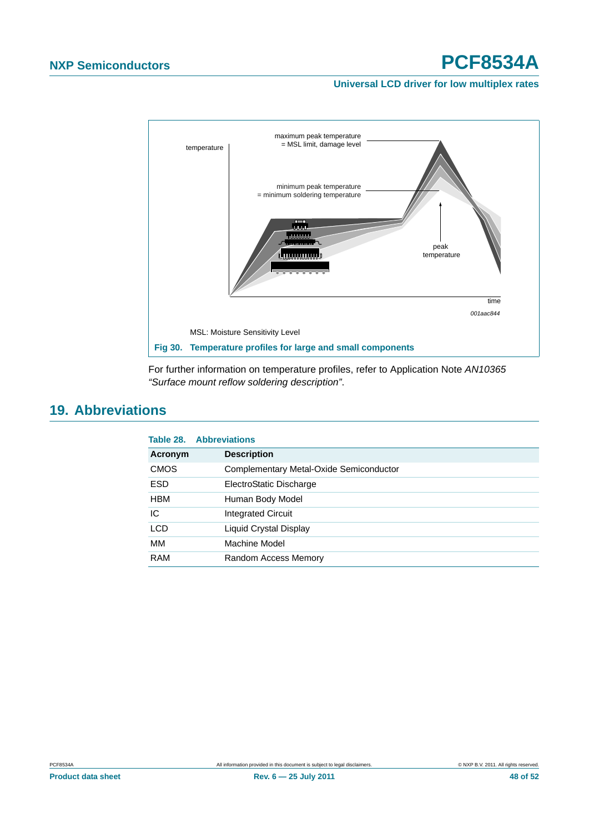#### **Universal LCD driver for low multiplex rates**



For further information on temperature profiles, refer to Application Note *AN10365 "Surface mount reflow soldering description"*.

### <span id="page-47-0"></span>**19. Abbreviations**

| <b>Abbreviations</b>                    |
|-----------------------------------------|
| <b>Description</b>                      |
| Complementary Metal-Oxide Semiconductor |
| ElectroStatic Discharge                 |
| Human Body Model                        |
| <b>Integrated Circuit</b>               |
| Liquid Crystal Display                  |
| Machine Model                           |
| Random Access Memory                    |
|                                         |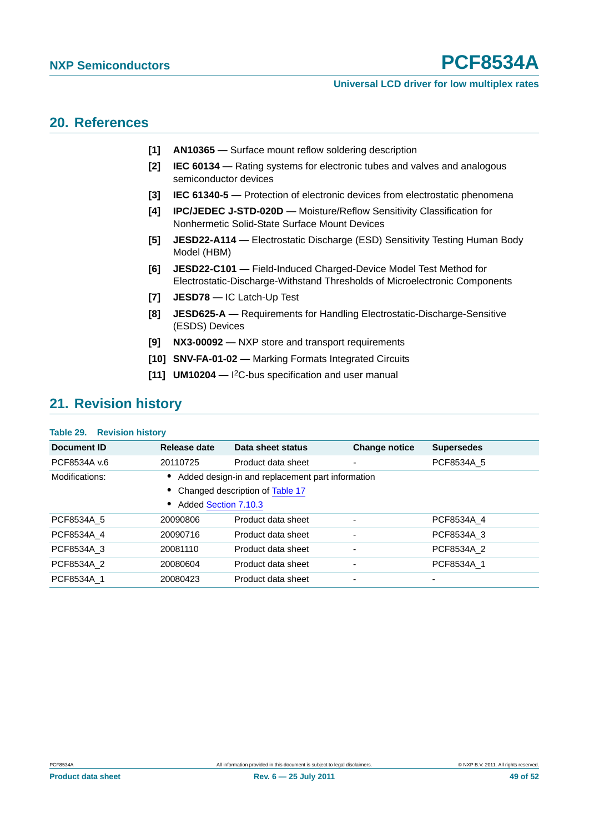#### **Universal LCD driver for low multiplex rates**

### <span id="page-48-4"></span>**20. References**

- **[1] AN10365** Surface mount reflow soldering description
- **[2] IEC 60134** Rating systems for electronic tubes and valves and analogous semiconductor devices
- **[3] IEC 61340-5** Protection of electronic devices from electrostatic phenomena
- **[4] IPC/JEDEC J-STD-020D** Moisture/Reflow Sensitivity Classification for Nonhermetic Solid-State Surface Mount Devices
- <span id="page-48-2"></span>**[5] JESD22-A114 —** Electrostatic Discharge (ESD) Sensitivity Testing Human Body Model (HBM)
- <span id="page-48-1"></span>**[6] JESD22-C101 —** Field-Induced Charged-Device Model Test Method for Electrostatic-Discharge-Withstand Thresholds of Microelectronic Components
- <span id="page-48-3"></span>**[7] JESD78 —** IC Latch-Up Test
- **[8] JESD625-A** Requirements for Handling Electrostatic-Discharge-Sensitive (ESDS) Devices
- <span id="page-48-0"></span>**[9] NX3-00092 —** NXP store and transport requirements
- **[10] SNV-FA-01-02** Marking Formats Integrated Circuits
- **[11] UM10204** I 2C-bus specification and user manual

### <span id="page-48-5"></span>**21. Revision history**

#### **Table 29. Revision history**

| Document ID    | Release date         | Data sheet status                                | <b>Change notice</b>         | <b>Supersedes</b> |
|----------------|----------------------|--------------------------------------------------|------------------------------|-------------------|
| PCF8534A v.6   | 20110725             | Product data sheet                               | ٠                            | PCF8534A 5        |
| Modifications: |                      | Added design-in and replacement part information |                              |                   |
|                |                      | • Changed description of Table 17                |                              |                   |
|                | Added Section 7.10.3 |                                                  |                              |                   |
| PCF8534A 5     | 20090806             | Product data sheet                               | $\qquad \qquad \blacksquare$ | PCF8534A 4        |
| PCF8534A 4     | 20090716             | Product data sheet                               | $\overline{\phantom{0}}$     | PCF8534A 3        |
| PCF8534A 3     | 20081110             | Product data sheet                               | $\blacksquare$               | PCF8534A_2        |
| PCF8534A 2     | 20080604             | Product data sheet                               | $\qquad \qquad \blacksquare$ | PCF8534A 1        |
| PCF8534A 1     | 20080423             | Product data sheet                               | ٠                            |                   |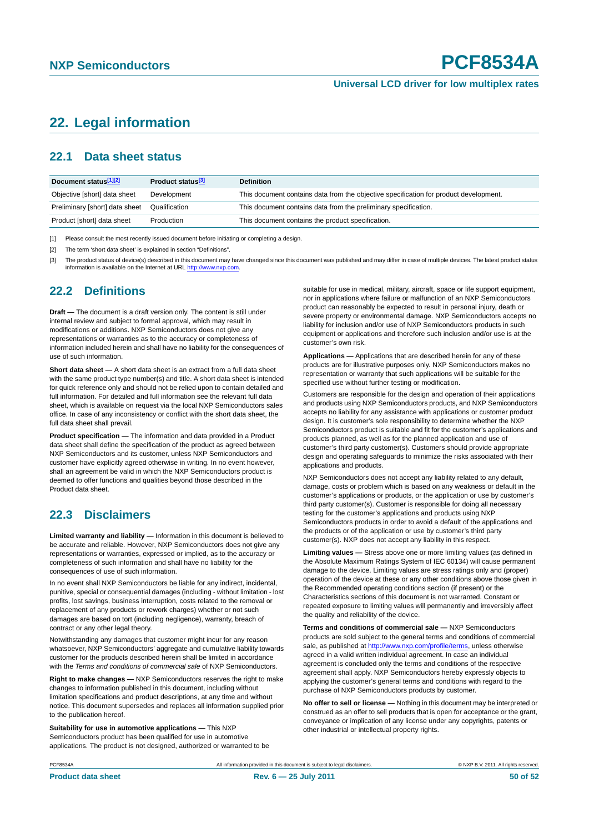### <span id="page-49-0"></span>**22. Legal information**

#### <span id="page-49-1"></span>**22.1 Data sheet status**

| Document status[1][2]          | Product status <sup>[3]</sup> | <b>Definition</b>                                                                     |
|--------------------------------|-------------------------------|---------------------------------------------------------------------------------------|
| Objective [short] data sheet   | Development                   | This document contains data from the objective specification for product development. |
| Preliminary [short] data sheet | Qualification                 | This document contains data from the preliminary specification.                       |
| Product [short] data sheet     | Production                    | This document contains the product specification.                                     |

[1] Please consult the most recently issued document before initiating or completing a design.

[2] The term 'short data sheet' is explained in section "Definitions".

[3] The product status of device(s) described in this document may have changed since this document was published and may differ in case of multiple devices. The latest product status<br>information is available on the Intern

#### <span id="page-49-2"></span>**22.2 Definitions**

**Draft —** The document is a draft version only. The content is still under internal review and subject to formal approval, which may result in modifications or additions. NXP Semiconductors does not give any representations or warranties as to the accuracy or completeness of information included herein and shall have no liability for the consequences of use of such information.

**Short data sheet —** A short data sheet is an extract from a full data sheet with the same product type number(s) and title. A short data sheet is intended for quick reference only and should not be relied upon to contain detailed and full information. For detailed and full information see the relevant full data sheet, which is available on request via the local NXP Semiconductors sales office. In case of any inconsistency or conflict with the short data sheet, the full data sheet shall prevail.

**Product specification —** The information and data provided in a Product data sheet shall define the specification of the product as agreed between NXP Semiconductors and its customer, unless NXP Semiconductors and customer have explicitly agreed otherwise in writing. In no event however, shall an agreement be valid in which the NXP Semiconductors product is deemed to offer functions and qualities beyond those described in the Product data sheet.

#### <span id="page-49-3"></span>**22.3 Disclaimers**

**Limited warranty and liability —** Information in this document is believed to be accurate and reliable. However, NXP Semiconductors does not give any representations or warranties, expressed or implied, as to the accuracy or completeness of such information and shall have no liability for the consequences of use of such information.

In no event shall NXP Semiconductors be liable for any indirect, incidental, punitive, special or consequential damages (including - without limitation - lost profits, lost savings, business interruption, costs related to the removal or replacement of any products or rework charges) whether or not such damages are based on tort (including negligence), warranty, breach of contract or any other legal theory.

Notwithstanding any damages that customer might incur for any reason whatsoever, NXP Semiconductors' aggregate and cumulative liability towards customer for the products described herein shall be limited in accordance with the *Terms and conditions of commercial sale* of NXP Semiconductors.

**Right to make changes —** NXP Semiconductors reserves the right to make changes to information published in this document, including without limitation specifications and product descriptions, at any time and without notice. This document supersedes and replaces all information supplied prior to the publication hereof.

**Suitability for use in automotive applications —** This NXP Semiconductors product has been qualified for use in automotive applications. The product is not designed, authorized or warranted to be suitable for use in medical, military, aircraft, space or life support equipment nor in applications where failure or malfunction of an NXP Semiconductors product can reasonably be expected to result in personal injury, death or severe property or environmental damage. NXP Semiconductors accepts no liability for inclusion and/or use of NXP Semiconductors products in such equipment or applications and therefore such inclusion and/or use is at the customer's own risk.

**Applications —** Applications that are described herein for any of these products are for illustrative purposes only. NXP Semiconductors makes no representation or warranty that such applications will be suitable for the specified use without further testing or modification.

Customers are responsible for the design and operation of their applications and products using NXP Semiconductors products, and NXP Semiconductors accepts no liability for any assistance with applications or customer product design. It is customer's sole responsibility to determine whether the NXP Semiconductors product is suitable and fit for the customer's applications and products planned, as well as for the planned application and use of customer's third party customer(s). Customers should provide appropriate design and operating safeguards to minimize the risks associated with their applications and products.

NXP Semiconductors does not accept any liability related to any default, damage, costs or problem which is based on any weakness or default in the customer's applications or products, or the application or use by customer's third party customer(s). Customer is responsible for doing all necessary testing for the customer's applications and products using NXP Semiconductors products in order to avoid a default of the applications and the products or of the application or use by customer's third party customer(s). NXP does not accept any liability in this respect.

**Limiting values —** Stress above one or more limiting values (as defined in the Absolute Maximum Ratings System of IEC 60134) will cause permanent damage to the device. Limiting values are stress ratings only and (proper) operation of the device at these or any other conditions above those given in the Recommended operating conditions section (if present) or the Characteristics sections of this document is not warranted. Constant or repeated exposure to limiting values will permanently and irreversibly affect the quality and reliability of the device.

**Terms and conditions of commercial sale —** NXP Semiconductors products are sold subject to the general terms and conditions of commercial sale, as published at<http://www.nxp.com/profile/terms>, unless otherwise agreed in a valid written individual agreement. In case an individual agreement is concluded only the terms and conditions of the respective agreement shall apply. NXP Semiconductors hereby expressly objects to applying the customer's general terms and conditions with regard to the purchase of NXP Semiconductors products by customer.

**No offer to sell or license —** Nothing in this document may be interpreted or construed as an offer to sell products that is open for acceptance or the grant, conveyance or implication of any license under any copyrights, patents or other industrial or intellectual property rights.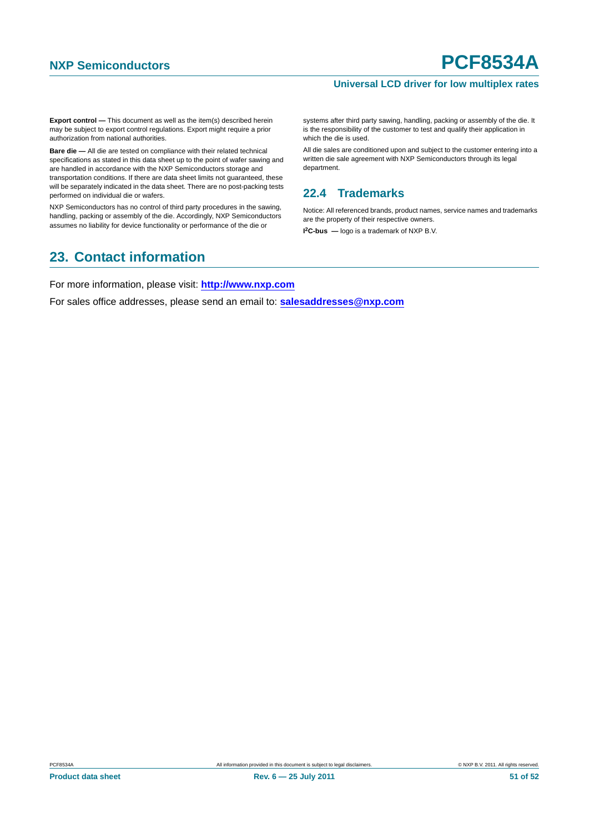#### **Universal LCD driver for low multiplex rates**

**Export control —** This document as well as the item(s) described herein may be subject to export control regulations. Export might require a prior authorization from national authorities.

**Bare die —** All die are tested on compliance with their related technical specifications as stated in this data sheet up to the point of wafer sawing and are handled in accordance with the NXP Semiconductors storage and transportation conditions. If there are data sheet limits not guaranteed, these will be separately indicated in the data sheet. There are no post-packing tests performed on individual die or wafers.

NXP Semiconductors has no control of third party procedures in the sawing, handling, packing or assembly of the die. Accordingly, NXP Semiconductors assumes no liability for device functionality or performance of the die or

### <span id="page-50-1"></span>**23. Contact information**

systems after third party sawing, handling, packing or assembly of the die. It is the responsibility of the customer to test and qualify their application in which the die is used.

All die sales are conditioned upon and subject to the customer entering into a written die sale agreement with NXP Semiconductors through its legal department.

### <span id="page-50-0"></span>**22.4 Trademarks**

Notice: All referenced brands, product names, service names and trademarks are the property of their respective owners.

**I 2C-bus —** logo is a trademark of NXP B.V.

For more information, please visit: **http://www.nxp.com**

For sales office addresses, please send an email to: **salesaddresses@nxp.com**